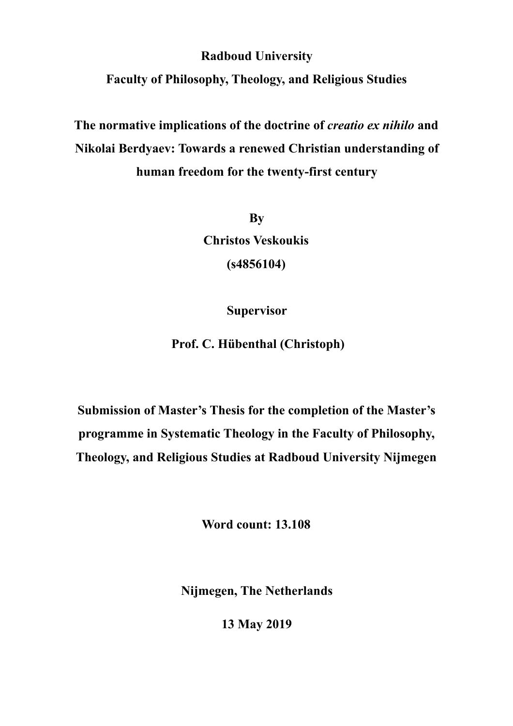**Radboud University** 

**Faculty of Philosophy, Theology, and Religious Studies** 

**The normative implications of the doctrine of** *creatio ex nihilo* **and Nikolai Berdyaev: Towards a renewed Christian understanding of human freedom for the twenty-first century**

> **By Christos Veskoukis (s4856104)**

> > **Supervisor**

 **Prof. C. Hübenthal (Christoph)** 

**Submission of Master's Thesis for the completion of the Master's programme in Systematic Theology in the Faculty of Philosophy, Theology, and Religious Studies at Radboud University Nijmegen** 

**Word count: 13.108** 

**Nijmegen, The Netherlands** 

**13 May 2019**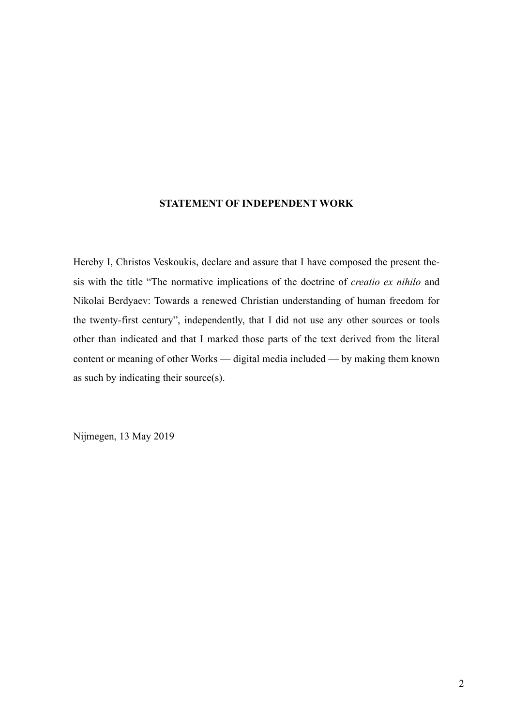### **STATEMENT OF INDEPENDENT WORK**

Hereby I, Christos Veskoukis, declare and assure that I have composed the present thesis with the title "The normative implications of the doctrine of *creatio ex nihilo* and Nikolai Berdyaev: Towards a renewed Christian understanding of human freedom for the twenty-first century", independently, that I did not use any other sources or tools other than indicated and that I marked those parts of the text derived from the literal content or meaning of other Works — digital media included — by making them known as such by indicating their source(s).

Nijmegen, 13 May 2019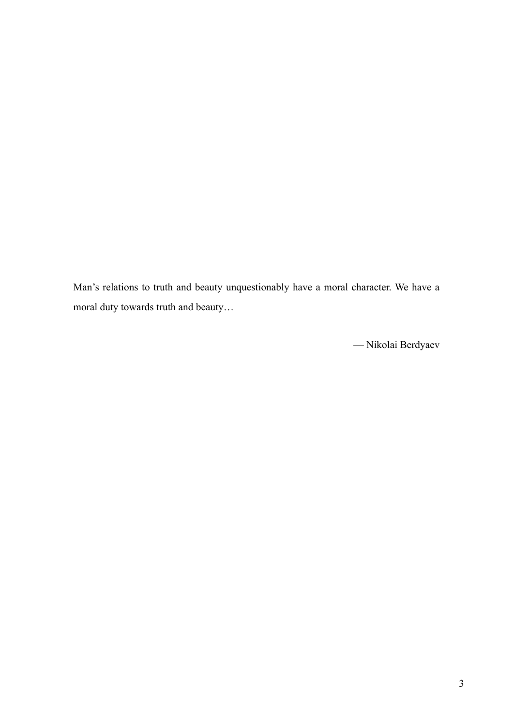Man's relations to truth and beauty unquestionably have a moral character. We have a moral duty towards truth and beauty…

— Nikolai Berdyaev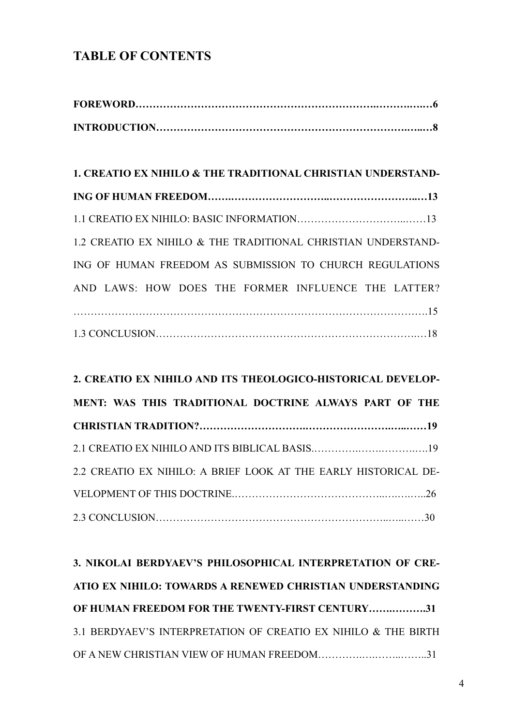## **TABLE OF CONTENTS**

| 1. CREATIO EX NIHILO & THE TRADITIONAL CHRISTIAN UNDERSTAND-  |  |
|---------------------------------------------------------------|--|
|                                                               |  |
|                                                               |  |
| 1.2 CREATIO EX NIHILO & THE TRADITIONAL CHRISTIAN UNDERSTAND- |  |
| ING OF HUMAN FREEDOM AS SUBMISSION TO CHURCH REGULATIONS      |  |
| AND LAWS: HOW DOES THE FORMER INFLUENCE THE LATTER?           |  |
|                                                               |  |
|                                                               |  |

# **2. CREATIO EX NIHILO AND ITS THEOLOGICO-HISTORICAL DEVELOP-MENT: WAS THIS TRADITIONAL DOCTRINE ALWAYS PART OF THE CHRISTIAN TRADITION?………………………….…………………….…..……19**  2.1 CREATIO EX NIHILO AND ITS BIBLICAL BASIS.………….…….……….….19 2.2 CREATIO EX NIHILO: A BRIEF LOOK AT THE EARLY HISTORICAL DE-VELOPMENT OF THIS DOCTRINE.……………………………………..….….…..26 2.3 CONCLUSION…………………………………………………………..…..……30

| 3. NIKOLAI BERDYAEV'S PHILOSOPHICAL INTERPRETATION OF CRE-     |  |
|----------------------------------------------------------------|--|
| ATIO EX NIHILO: TOWARDS A RENEWED CHRISTIAN UNDERSTANDING      |  |
| OF HUMAN FREEDOM FOR THE TWENTY-FIRST CENTURY31                |  |
| 3.1 BERDYAEV'S INTERPRETATION OF CREATIO EX NIHILO & THE BIRTH |  |
|                                                                |  |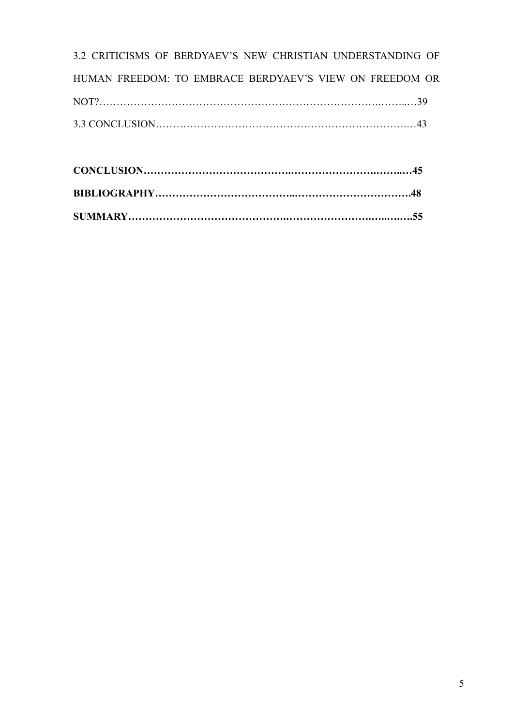| 3.2 CRITICISMS OF BERDYAEV'S NEW CHRISTIAN UNDERSTANDING OF |  |
|-------------------------------------------------------------|--|
| HUMAN FREEDOM: TO EMBRACE BERDYAEV'S VIEW ON FREEDOM OR     |  |
|                                                             |  |
|                                                             |  |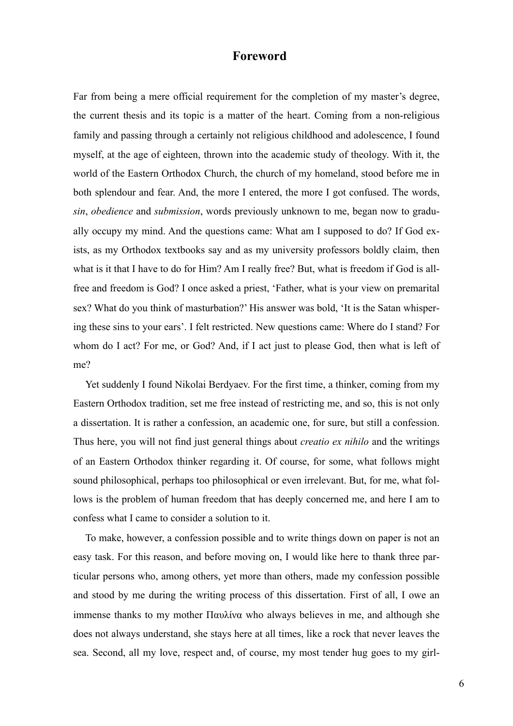### **Foreword**

Far from being a mere official requirement for the completion of my master's degree, the current thesis and its topic is a matter of the heart. Coming from a non-religious family and passing through a certainly not religious childhood and adolescence, I found myself, at the age of eighteen, thrown into the academic study of theology. With it, the world of the Eastern Orthodox Church, the church of my homeland, stood before me in both splendour and fear. And, the more I entered, the more I got confused. The words, *sin*, *obedience* and *submission*, words previously unknown to me, began now to gradually occupy my mind. And the questions came: What am I supposed to do? If God exists, as my Orthodox textbooks say and as my university professors boldly claim, then what is it that I have to do for Him? Am I really free? But, what is freedom if God is allfree and freedom is God? I once asked a priest, 'Father, what is your view on premarital sex? What do you think of masturbation?' His answer was bold, 'It is the Satan whispering these sins to your ears'. I felt restricted. New questions came: Where do I stand? For whom do I act? For me, or God? And, if I act just to please God, then what is left of me?

Yet suddenly I found Nikolai Berdyaev. For the first time, a thinker, coming from my Eastern Orthodox tradition, set me free instead of restricting me, and so, this is not only a dissertation. It is rather a confession, an academic one, for sure, but still a confession. Thus here, you will not find just general things about *creatio ex nihilo* and the writings of an Eastern Orthodox thinker regarding it. Of course, for some, what follows might sound philosophical, perhaps too philosophical or even irrelevant. But, for me, what follows is the problem of human freedom that has deeply concerned me, and here I am to confess what I came to consider a solution to it.

To make, however, a confession possible and to write things down on paper is not an easy task. For this reason, and before moving on, I would like here to thank three particular persons who, among others, yet more than others, made my confession possible and stood by me during the writing process of this dissertation. First of all, I owe an immense thanks to my mother Παυλίνα who always believes in me, and although she does not always understand, she stays here at all times, like a rock that never leaves the sea. Second, all my love, respect and, of course, my most tender hug goes to my girl-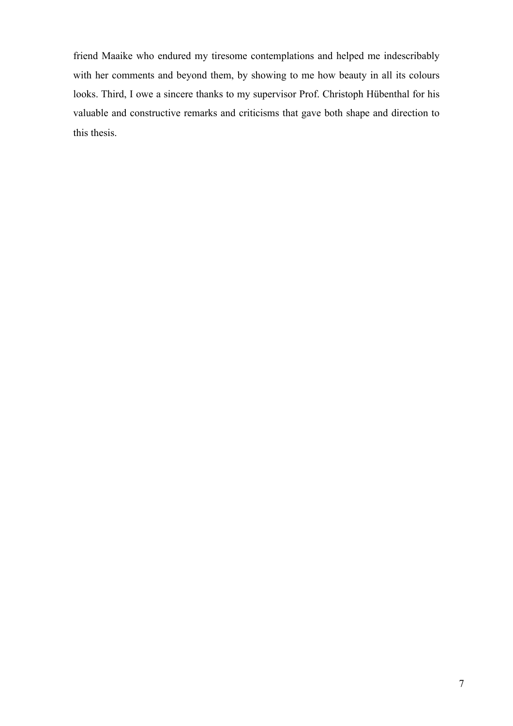friend Maaike who endured my tiresome contemplations and helped me indescribably with her comments and beyond them, by showing to me how beauty in all its colours looks. Third, I owe a sincere thanks to my supervisor Prof. Christoph Hübenthal for his valuable and constructive remarks and criticisms that gave both shape and direction to this thesis.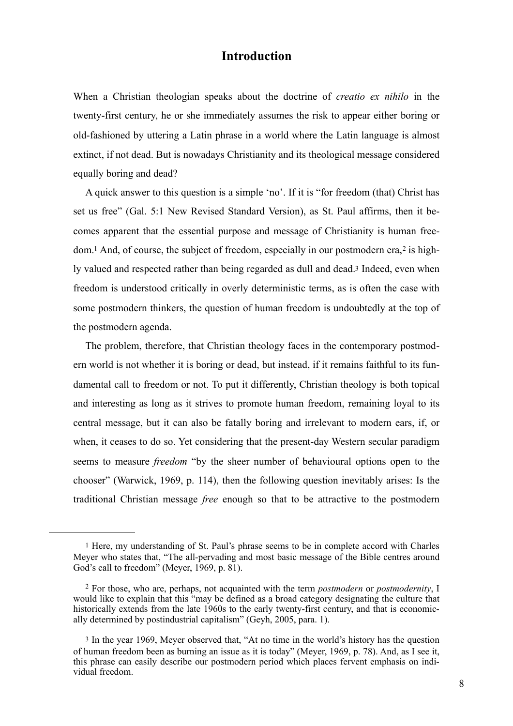### **Introduction**

When a Christian theologian speaks about the doctrine of *creatio ex nihilo* in the twenty-first century, he or she immediately assumes the risk to appear either boring or old-fashioned by uttering a Latin phrase in a world where the Latin language is almost extinct, if not dead. But is nowadays Christianity and its theological message considered equally boring and dead?

A quick answer to this question is a simple 'no'. If it is "for freedom (that) Christ has set us free" (Gal. 5:1 New Revised Standard Version), as St. Paul affirms, then it becomes apparent that the essential purpose and message of Christianity is human free $dom<sup>1</sup>$  And, of course, the subject of freedom, especially in our postmodern era,<sup>2</sup> is highly valued and respected rather than being regarded as dull and dead.3 Indeed, even when freedom is understood critically in overly deterministic terms, as is often the case with some postmodern thinkers, the question of human freedom is undoubtedly at the top of the postmodern agenda.

The problem, therefore, that Christian theology faces in the contemporary postmodern world is not whether it is boring or dead, but instead, if it remains faithful to its fundamental call to freedom or not. To put it differently, Christian theology is both topical and interesting as long as it strives to promote human freedom, remaining loyal to its central message, but it can also be fatally boring and irrelevant to modern ears, if, or when, it ceases to do so. Yet considering that the present-day Western secular paradigm seems to measure *freedom* "by the sheer number of behavioural options open to the chooser" (Warwick, 1969, p. 114), then the following question inevitably arises: Ιs the traditional Christian message *free* enough so that to be attractive to the postmodern

<sup>1</sup> Here, my understanding of St. Paul's phrase seems to be in complete accord with Charles Meyer who states that, "The all-pervading and most basic message of the Bible centres around God's call to freedom" (Meyer, 1969, p. 81).

For those, who are, perhaps, not acquainted with the term *postmodern* or *postmodernity*, I 2 would like to explain that this "may be defined as a broad category designating the culture that historically extends from the late 1960s to the early twenty-first century, and that is economically determined by postindustrial capitalism" (Geyh, 2005, para. 1).

<sup>3</sup> In the year 1969, Meyer observed that, "At no time in the world's history has the question of human freedom been as burning an issue as it is today" (Meyer, 1969, p. 78). And, as I see it, this phrase can easily describe our postmodern period which places fervent emphasis on individual freedom.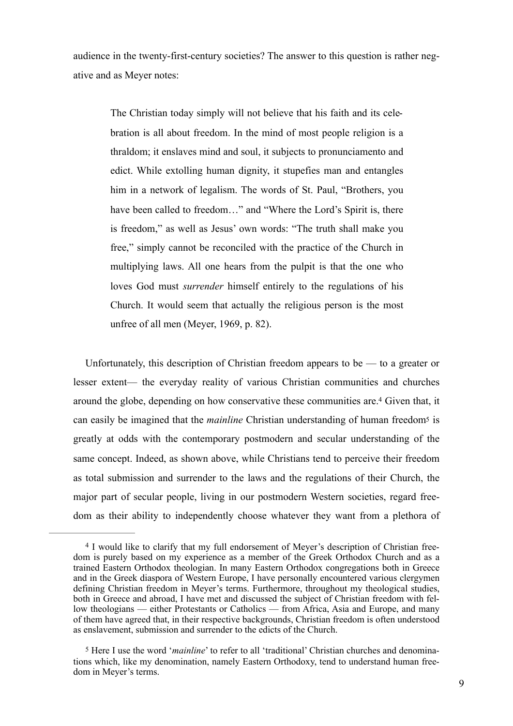audience in the twenty-first-century societies? The answer to this question is rather negative and as Meyer notes:

The Christian today simply will not believe that his faith and its celebration is all about freedom. In the mind of most people religion is a thraldom; it enslaves mind and soul, it subjects to pronunciamento and edict. While extolling human dignity, it stupefies man and entangles him in a network of legalism. The words of St. Paul, "Brothers, you have been called to freedom..." and "Where the Lord's Spirit is, there is freedom," as well as Jesus' own words: "The truth shall make you free," simply cannot be reconciled with the practice of the Church in multiplying laws. All one hears from the pulpit is that the one who loves God must *surrender* himself entirely to the regulations of his Church. It would seem that actually the religious person is the most unfree of all men (Meyer, 1969, p. 82).

Unfortunately, this description of Christian freedom appears to be  $-$  to a greater or lesser extent— the everyday reality of various Christian communities and churches around the globe, depending on how conservative these communities are.<sup>4</sup> Given that, it can easily be imagined that the *mainline* Christian understanding of human freedom<sup>5</sup> is greatly at odds with the contemporary postmodern and secular understanding of the same concept. Indeed, as shown above, while Christians tend to perceive their freedom as total submission and surrender to the laws and the regulations of their Church, the major part of secular people, living in our postmodern Western societies, regard freedom as their ability to independently choose whatever they want from a plethora of

 $4$  I would like to clarify that my full endorsement of Meyer's description of Christian freedom is purely based on my experience as a member of the Greek Orthodox Church and as a trained Eastern Orthodox theologian. In many Eastern Orthodox congregations both in Greece and in the Greek diaspora of Western Europe, I have personally encountered various clergymen defining Christian freedom in Meyer's terms. Furthermore, throughout my theological studies, both in Greece and abroad, I have met and discussed the subject of Christian freedom with fellow theologians — either Protestants or Catholics — from Africa, Asia and Europe, and many of them have agreed that, in their respective backgrounds, Christian freedom is often understood as enslavement, submission and surrender to the edicts of the Church.

<sup>5</sup> Here I use the word '*mainline*' to refer to all 'traditional' Christian churches and denominations which, like my denomination, namely Eastern Orthodoxy, tend to understand human freedom in Meyer's terms.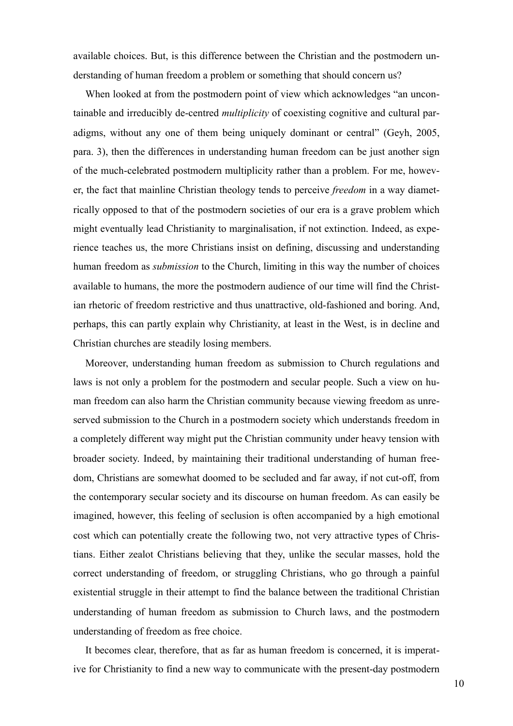available choices. But, is this difference between the Christian and the postmodern understanding of human freedom a problem or something that should concern us?

When looked at from the postmodern point of view which acknowledges "an uncontainable and irreducibly de-centred *multiplicity* of coexisting cognitive and cultural paradigms, without any one of them being uniquely dominant or central" (Geyh, 2005, para. 3), then the differences in understanding human freedom can be just another sign of the much-celebrated postmodern multiplicity rather than a problem. For me, however, the fact that mainline Christian theology tends to perceive *freedom* in a way diametrically opposed to that of the postmodern societies of our era is a grave problem which might eventually lead Christianity to marginalisation, if not extinction. Indeed, as experience teaches us, the more Christians insist on defining, discussing and understanding human freedom as *submission* to the Church, limiting in this way the number of choices available to humans, the more the postmodern audience of our time will find the Christian rhetoric of freedom restrictive and thus unattractive, old-fashioned and boring. And, perhaps, this can partly explain why Christianity, at least in the West, is in decline and Christian churches are steadily losing members.

Moreover, understanding human freedom as submission to Church regulations and laws is not only a problem for the postmodern and secular people. Such a view on human freedom can also harm the Christian community because viewing freedom as unreserved submission to the Church in a postmodern society which understands freedom in a completely different way might put the Christian community under heavy tension with broader society. Indeed, by maintaining their traditional understanding of human freedom, Christians are somewhat doomed to be secluded and far away, if not cut-off, from the contemporary secular society and its discourse on human freedom. As can easily be imagined, however, this feeling of seclusion is often accompanied by a high emotional cost which can potentially create the following two, not very attractive types of Christians. Either zealot Christians believing that they, unlike the secular masses, hold the correct understanding of freedom, or struggling Christians, who go through a painful existential struggle in their attempt to find the balance between the traditional Christian understanding of human freedom as submission to Church laws, and the postmodern understanding of freedom as free choice.

It becomes clear, therefore, that as far as human freedom is concerned, it is imperative for Christianity to find a new way to communicate with the present-day postmodern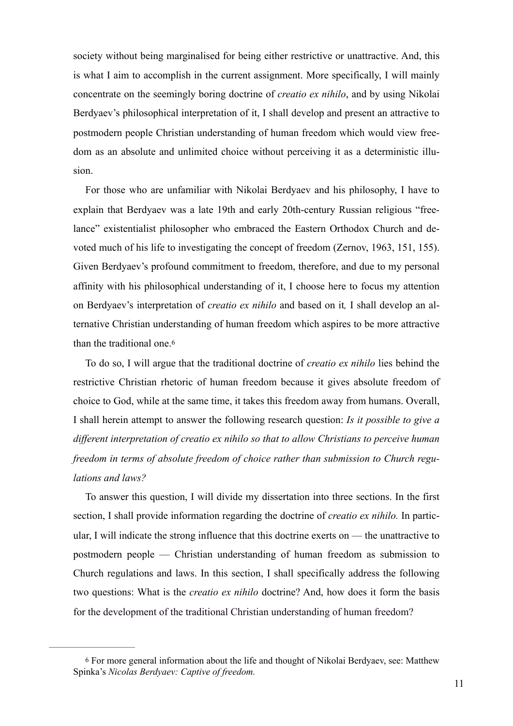society without being marginalised for being either restrictive or unattractive. And, this is what I aim to accomplish in the current assignment. More specifically, I will mainly concentrate on the seemingly boring doctrine of *creatio ex nihilo*, and by using Nikolai Berdyaev's philosophical interpretation of it, I shall develop and present an attractive to postmodern people Christian understanding of human freedom which would view freedom as an absolute and unlimited choice without perceiving it as a deterministic illusion.

For those who are unfamiliar with Nikolai Berdyaev and his philosophy, I have to explain that Berdyaev was a late 19th and early 20th-century Russian religious "freelance" existentialist philosopher who embraced the Eastern Orthodox Church and devoted much of his life to investigating the concept of freedom (Zernov, 1963, 151, 155). Given Berdyaev's profound commitment to freedom, therefore, and due to my personal affinity with his philosophical understanding of it, I choose here to focus my attention on Berdyaev's interpretation of *creatio ex nihilo* and based on it*,* I shall develop an alternative Christian understanding of human freedom which aspires to be more attractive than the traditional one.6

To do so, I will argue that the traditional doctrine of *creatio ex nihilo* lies behind the restrictive Christian rhetoric of human freedom because it gives absolute freedom of choice to God, while at the same time, it takes this freedom away from humans. Overall, I shall herein attempt to answer the following research question: *Is it possible to give a different interpretation of creatio ex nihilo so that to allow Christians to perceive human freedom in terms of absolute freedom of choice rather than submission to Church regulations and laws?*

To answer this question, I will divide my dissertation into three sections. In the first section, I shall provide information regarding the doctrine of *creatio ex nihilo.* In particular, I will indicate the strong influence that this doctrine exerts on — the unattractive to postmodern people — Christian understanding of human freedom as submission to Church regulations and laws. In this section, I shall specifically address the following two questions: What is the *creatio ex nihilo* doctrine? And, how does it form the basis for the development of the traditional Christian understanding of human freedom?

<sup>6</sup> For more general information about the life and thought of Nikolai Berdyaev, see: Matthew Spinka's *Nicolas Berdyaev: Captive of freedom.*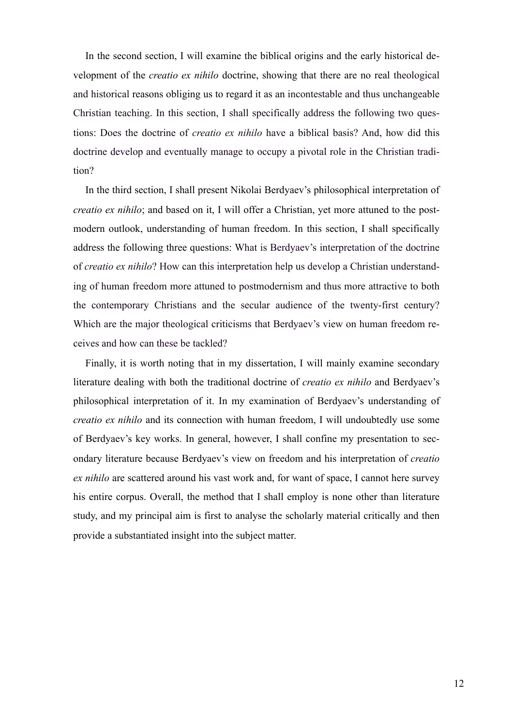In the second section, I will examine the biblical origins and the early historical development of the *creatio ex nihilo* doctrine, showing that there are no real theological and historical reasons obliging us to regard it as an incontestable and thus unchangeable Christian teaching. In this section, I shall specifically address the following two questions: Does the doctrine of *creatio ex nihilo* have a biblical basis? And, how did this doctrine develop and eventually manage to occupy a pivotal role in the Christian tradition?

In the third section, I shall present Nikolai Berdyaev's philosophical interpretation of *creatio ex nihilo*; and based on it, I will offer a Christian, yet more attuned to the postmodern outlook, understanding of human freedom. In this section, I shall specifically address the following three questions: What is Berdyaev's interpretation of the doctrine of *creatio ex nihilo*? How can this interpretation help us develop a Christian understanding of human freedom more attuned to postmodernism and thus more attractive to both the contemporary Christians and the secular audience of the twenty-first century? Which are the major theological criticisms that Berdyaev's view on human freedom receives and how can these be tackled?

Finally, it is worth noting that in my dissertation, I will mainly examine secondary literature dealing with both the traditional doctrine of *creatio ex nihilo* and Berdyaev's philosophical interpretation of it. In my examination of Berdyaev's understanding of *creatio ex nihilo* and its connection with human freedom, I will undoubtedly use some of Berdyaev's key works. In general, however, I shall confine my presentation to secondary literature because Berdyaev's view on freedom and his interpretation of *creatio ex nihilo* are scattered around his vast work and, for want of space, I cannot here survey his entire corpus. Overall, the method that I shall employ is none other than literature study, and my principal aim is first to analyse the scholarly material critically and then provide a substantiated insight into the subject matter.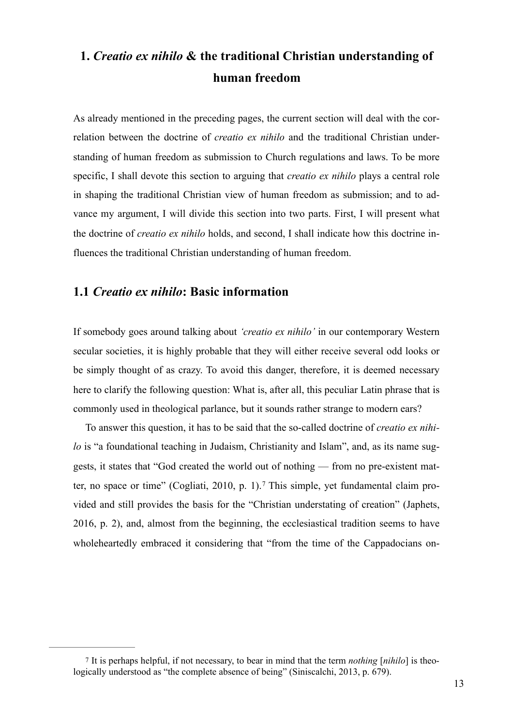## **1.** *Creatio ex nihilo* **& the traditional Christian understanding of human freedom**

As already mentioned in the preceding pages, the current section will deal with the correlation between the doctrine of *creatio ex nihilo* and the traditional Christian understanding of human freedom as submission to Church regulations and laws. To be more specific, I shall devote this section to arguing that *creatio ex nihilo* plays a central role in shaping the traditional Christian view of human freedom as submission; and to advance my argument, I will divide this section into two parts. First, I will present what the doctrine of *creatio ex nihilo* holds, and second, I shall indicate how this doctrine influences the traditional Christian understanding of human freedom.

### **1.1** *Creatio ex nihilo***: Basic information**

If somebody goes around talking about *'creatio ex nihilo'* in our contemporary Western secular societies, it is highly probable that they will either receive several odd looks or be simply thought of as crazy. To avoid this danger, therefore, it is deemed necessary here to clarify the following question: What is, after all, this peculiar Latin phrase that is commonly used in theological parlance, but it sounds rather strange to modern ears?

To answer this question, it has to be said that the so-called doctrine of *creatio ex nihilo* is "a foundational teaching in Judaism, Christianity and Islam", and, as its name suggests, it states that "God created the world out of nothing — from no pre-existent matter, no space or time" (Cogliati, 2010, p. 1).7 This simple, yet fundamental claim provided and still provides the basis for the "Christian understating of creation" (Japhets, 2016, p. 2), and, almost from the beginning, the ecclesiastical tradition seems to have wholeheartedly embraced it considering that "from the time of the Cappadocians on-

<sup>7</sup> It is perhaps helpful, if not necessary, to bear in mind that the term *nothing* [*nihilo*] is theologically understood as "the complete absence of being" (Siniscalchi, 2013, p. 679).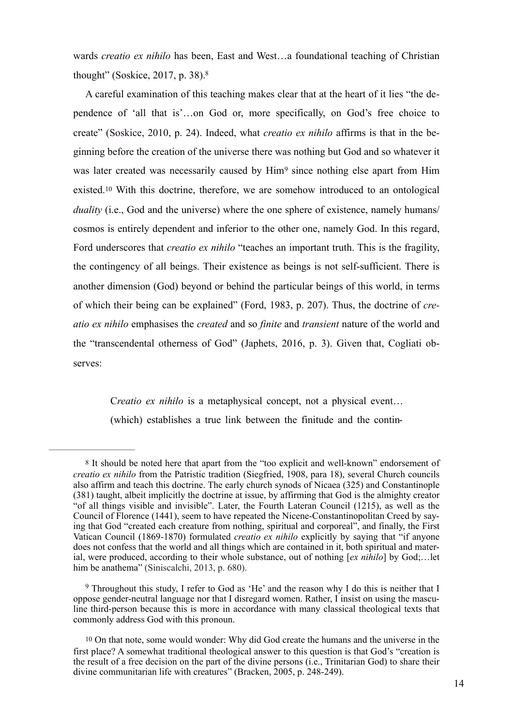wards *creatio ex nihilo* has been, East and West…a foundational teaching of Christian thought" (Soskice, 2017, p. 38). 8

A careful examination of this teaching makes clear that at the heart of it lies "the dependence of 'all that is'…on God or, more specifically, on God's free choice to create" (Soskice, 2010, p. 24). Indeed, what *creatio ex nihilo* affirms is that in the beginning before the creation of the universe there was nothing but God and so whatever it was later created was necessarily caused by  $\text{Him}^9$  since nothing else apart from  $\text{Him}$ existed.10 With this doctrine, therefore, we are somehow introduced to an ontological *duality* (i.e., God and the universe) where the one sphere of existence, namely humans/ cosmos is entirely dependent and inferior to the other one, namely God. In this regard, Ford underscores that *creatio ex nihilo* "teaches an important truth. This is the fragility, the contingency of all beings. Their existence as beings is not self-sufficient. There is another dimension (God) beyond or behind the particular beings of this world, in terms of which their being can be explained" (Ford, 1983, p. 207). Thus, the doctrine of *creatio ex nihilo* emphasises the *created* and so *finite* and *transient* nature of the world and the "transcendental otherness of God" (Japhets, 2016, p. 3). Given that, Cogliati observes:

C*reatio ex nihilo* is a metaphysical concept, not a physical event… (which) establishes a true link between the finitude and the contin-

<sup>8</sup> It should be noted here that apart from the "too explicit and well-known" endorsement of *creatio ex nihilo* from the Patristic tradition (Siegfried, 1908, para 18), several Church councils also affirm and teach this doctrine. The early church synods of Nicaea (325) and Constantinople (381) taught, albeit implicitly the doctrine at issue, by affirming that God is the almighty creator "of all things visible and invisible". Later, the Fourth Lateran Council (1215), as well as the Council of Florence (1441), seem to have repeated the Nicene-Constantinopolitan Creed by saying that God "created each creature from nothing, spiritual and corporeal", and finally, the First Vatican Council (1869-1870) formulated *creatio ex nihilo* explicitly by saying that "if anyone does not confess that the world and all things which are contained in it, both spiritual and material, were produced, according to their whole substance, out of nothing [*ex nihilo*] by God;…let him be anathema" (Siniscalchi, 2013, p. 680).

<sup>&</sup>lt;sup>9</sup> Throughout this study, I refer to God as 'He' and the reason why I do this is neither that I oppose gender-neutral language nor that I disregard women. Rather, I insist on using the masculine third-person because this is more in accordance with many classical theological texts that commonly address God with this pronoun.

<sup>10</sup> On that note, some would wonder: Why did God create the humans and the universe in the first place? A somewhat traditional theological answer to this question is that God's "creation is the result of a free decision on the part of the divine persons (i.e., Trinitarian God) to share their divine communitarian life with creatures" (Bracken, 2005, p. 248-249).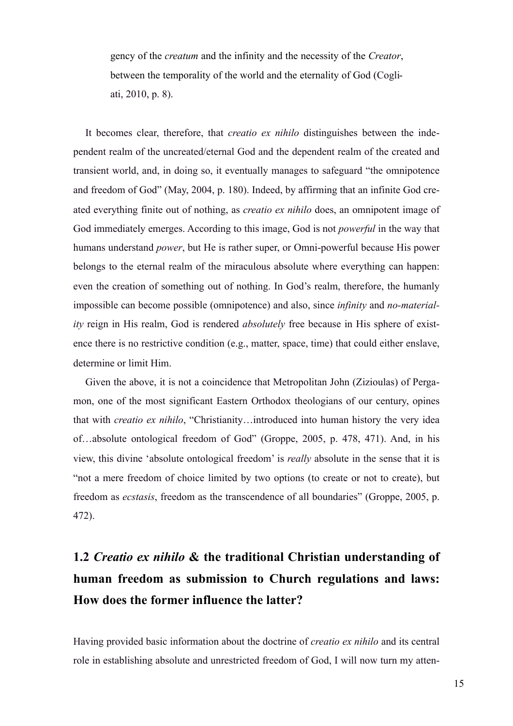gency of the *creatum* and the infinity and the necessity of the *Creator*, between the temporality of the world and the eternality of God (Cogliati, 2010, p. 8).

It becomes clear, therefore, that *creatio ex nihilo* distinguishes between the independent realm of the uncreated/eternal God and the dependent realm of the created and transient world, and, in doing so, it eventually manages to safeguard "the omnipotence and freedom of God" (May, 2004, p. 180). Indeed, by affirming that an infinite God created everything finite out of nothing, as *creatio ex nihilo* does, an omnipotent image of God immediately emerges. According to this image, God is not *powerful* in the way that humans understand *power*, but He is rather super, or Omni-powerful because His power belongs to the eternal realm of the miraculous absolute where everything can happen: even the creation of something out of nothing. In God's realm, therefore, the humanly impossible can become possible (omnipotence) and also, since *infinity* and *no-materiality* reign in His realm, God is rendered *absolutely* free because in His sphere of existence there is no restrictive condition (e.g., matter, space, time) that could either enslave, determine or limit Him.

Given the above, it is not a coincidence that Metropolitan John (Zizioulas) of Pergamon, one of the most significant Eastern Orthodox theologians of our century, opines that with *creatio ex nihilo*, "Christianity…introduced into human history the very idea of…absolute ontological freedom of God" (Groppe, 2005, p. 478, 471). And, in his view, this divine 'absolute ontological freedom' is *really* absolute in the sense that it is "not a mere freedom of choice limited by two options (to create or not to create), but freedom as *ecstasis*, freedom as the transcendence of all boundaries" (Groppe, 2005, p. 472).

## **1.2** *Creatio ex nihilo* **& the traditional Christian understanding of human freedom as submission to Church regulations and laws: How does the former influence the latter?**

Having provided basic information about the doctrine of *creatio ex nihilo* and its central role in establishing absolute and unrestricted freedom of God, I will now turn my atten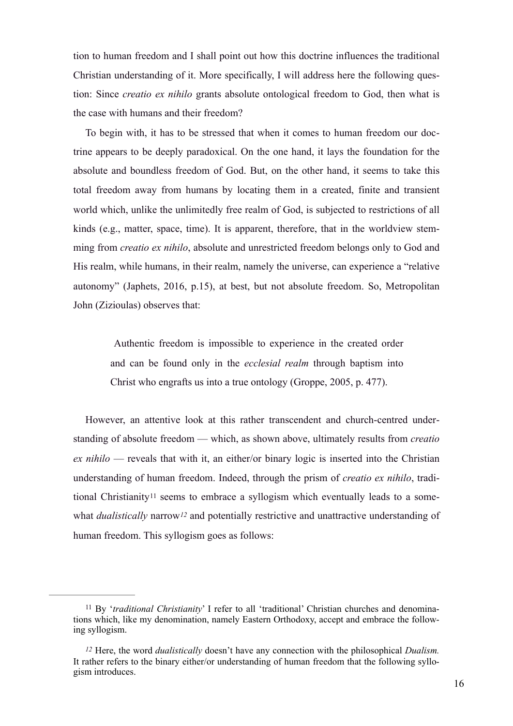tion to human freedom and I shall point out how this doctrine influences the traditional Christian understanding of it. More specifically, I will address here the following question: Since *creatio ex nihilo* grants absolute ontological freedom to God, then what is the case with humans and their freedom?

To begin with, it has to be stressed that when it comes to human freedom our doctrine appears to be deeply paradoxical. On the one hand, it lays the foundation for the absolute and boundless freedom of God. But, on the other hand, it seems to take this total freedom away from humans by locating them in a created, finite and transient world which, unlike the unlimitedly free realm of God, is subjected to restrictions of all kinds (e.g., matter, space, time). It is apparent, therefore, that in the worldview stemming from *creatio ex nihilo*, absolute and unrestricted freedom belongs only to God and His realm, while humans, in their realm, namely the universe, can experience a "relative autonomy" (Japhets, 2016, p.15), at best, but not absolute freedom. So, Metropolitan John (Zizioulas) observes that:

 Authentic freedom is impossible to experience in the created order and can be found only in the *ecclesial realm* through baptism into Christ who engrafts us into a true ontology (Groppe, 2005, p. 477).

However, an attentive look at this rather transcendent and church-centred understanding of absolute freedom — which, as shown above, ultimately results from *creatio ex nihilo* — reveals that with it, an either/or binary logic is inserted into the Christian understanding of human freedom. Indeed, through the prism of *creatio ex nihilo*, traditional Christianity11 seems to embrace a syllogism which eventually leads to a somewhat *dualistically* narrow*12* and potentially restrictive and unattractive understanding of human freedom. This syllogism goes as follows:

<sup>&</sup>lt;sup>11</sup> By '*traditional Christianity*' I refer to all 'traditional' Christian churches and denominations which, like my denomination, namely Eastern Orthodoxy, accept and embrace the following syllogism.

*<sup>12</sup>* Here, the word *dualistically* doesn't have any connection with the philosophical *Dualism.*  It rather refers to the binary either/or understanding of human freedom that the following syllogism introduces.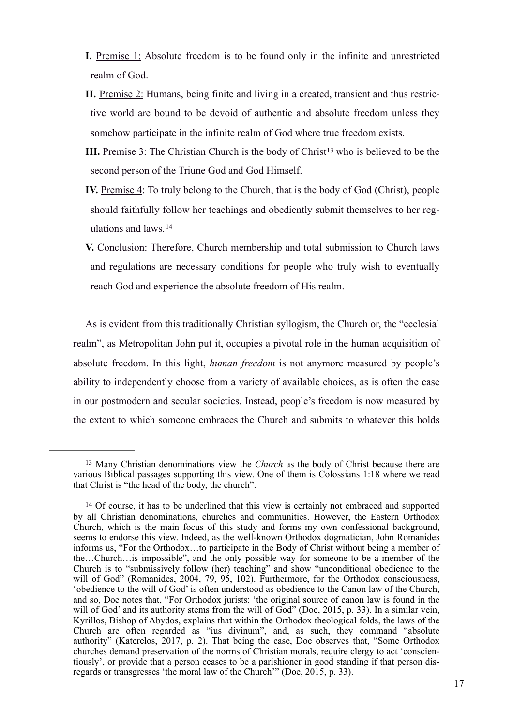- **I.** Premise 1: Absolute freedom is to be found only in the infinite and unrestricted realm of God.
- **II.** Premise 2: Humans, being finite and living in a created, transient and thus restrictive world are bound to be devoid of authentic and absolute freedom unless they somehow participate in the infinite realm of God where true freedom exists.
- **III.** Premise 3: The Christian Church is the body of Christ<sup>13</sup> who is believed to be the second person of the Triune God and God Himself.
- **IV.** Premise 4: To truly belong to the Church, that is the body of God (Christ), people should faithfully follow her teachings and obediently submit themselves to her regulations and laws.14
- **V.** Conclusion: Therefore, Church membership and total submission to Church laws and regulations are necessary conditions for people who truly wish to eventually reach God and experience the absolute freedom of His realm.

As is evident from this traditionally Christian syllogism, the Church or, the "ecclesial realm", as Metropolitan John put it, occupies a pivotal role in the human acquisition of absolute freedom. In this light, *human freedom* is not anymore measured by people's ability to independently choose from a variety of available choices, as is often the case in our postmodern and secular societies. Instead, people's freedom is now measured by the extent to which someone embraces the Church and submits to whatever this holds

<sup>&</sup>lt;sup>13</sup> Many Christian denominations view the *Church* as the body of Christ because there are various Biblical passages supporting this view. One of them is Colossians 1:18 where we read that Christ is "the head of the body, the church".

<sup>14</sup> Of course, it has to be underlined that this view is certainly not embraced and supported by all Christian denominations, churches and communities. However, the Eastern Orthodox Church, which is the main focus of this study and forms my own confessional background, seems to endorse this view. Indeed, as the well-known Orthodox dogmatician, John Romanides informs us, "For the Orthodox…to participate in the Body of Christ without being a member of the…Church…is impossible", and the only possible way for someone to be a member of the Church is to "submissively follow (her) teaching" and show "unconditional obedience to the will of God" (Romanides, 2004, 79, 95, 102). Furthermore, for the Orthodox consciousness, 'obedience to the will of God' is often understood as obedience to the Canon law of the Church, and so, Doe notes that, "For Orthodox jurists: 'the original source of canon law is found in the will of God' and its authority stems from the will of God" (Doe, 2015, p. 33). In a similar vein, Kyrillos, Bishop of Abydos, explains that within the Orthodox theological folds, the laws of the Church are often regarded as "ius divinum", and, as such, they command "absolute authority" (Katerelos, 2017, p. 2). That being the case, Doe observes that, "Some Orthodox churches demand preservation of the norms of Christian morals, require clergy to act 'conscientiously', or provide that a person ceases to be a parishioner in good standing if that person disregards or transgresses 'the moral law of the Church'" (Doe, 2015, p. 33).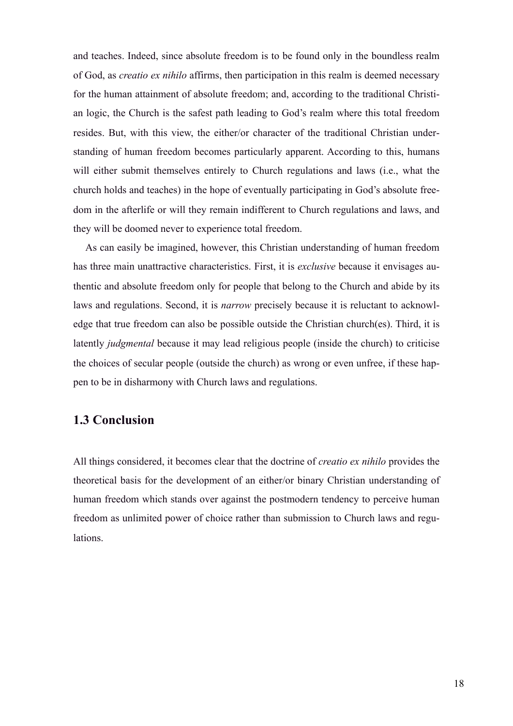and teaches. Indeed, since absolute freedom is to be found only in the boundless realm of God, as *creatio ex nihilo* affirms, then participation in this realm is deemed necessary for the human attainment of absolute freedom; and, according to the traditional Christian logic, the Church is the safest path leading to God's realm where this total freedom resides. But, with this view, the either/or character of the traditional Christian understanding of human freedom becomes particularly apparent. According to this, humans will either submit themselves entirely to Church regulations and laws (i.e., what the church holds and teaches) in the hope of eventually participating in God's absolute freedom in the afterlife or will they remain indifferent to Church regulations and laws, and they will be doomed never to experience total freedom.

As can easily be imagined, however, this Christian understanding of human freedom has three main unattractive characteristics. First, it is *exclusive* because it envisages authentic and absolute freedom only for people that belong to the Church and abide by its laws and regulations. Second, it is *narrow* precisely because it is reluctant to acknowledge that true freedom can also be possible outside the Christian church(es). Third, it is latently *judgmental* because it may lead religious people (inside the church) to criticise the choices of secular people (outside the church) as wrong or even unfree, if these happen to be in disharmony with Church laws and regulations.

## **1.3 Conclusion**

All things considered, it becomes clear that the doctrine of *creatio ex nihilo* provides the theoretical basis for the development of an either/or binary Christian understanding of human freedom which stands over against the postmodern tendency to perceive human freedom as unlimited power of choice rather than submission to Church laws and regulations.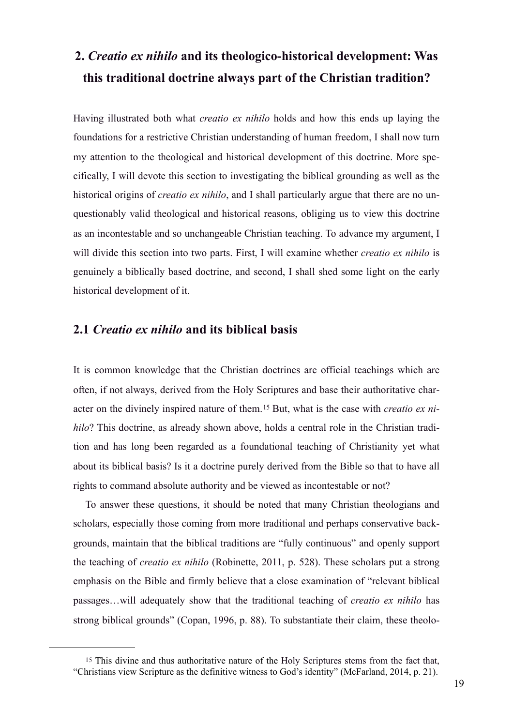## **2.** *Creatio ex nihilo* **and its theologico-historical development: Was this traditional doctrine always part of the Christian tradition?**

Having illustrated both what *creatio ex nihilo* holds and how this ends up laying the foundations for a restrictive Christian understanding of human freedom, I shall now turn my attention to the theological and historical development of this doctrine. More specifically, I will devote this section to investigating the biblical grounding as well as the historical origins of *creatio ex nihilo*, and I shall particularly argue that there are no unquestionably valid theological and historical reasons, obliging us to view this doctrine as an incontestable and so unchangeable Christian teaching. To advance my argument, I will divide this section into two parts. First, I will examine whether *creatio ex nihilo* is genuinely a biblically based doctrine, and second, I shall shed some light on the early historical development of it.

### **2.1** *Creatio ex nihilo* **and its biblical basis**

It is common knowledge that the Christian doctrines are official teachings which are often, if not always, derived from the Holy Scriptures and base their authoritative character on the divinely inspired nature of them.<sup>15</sup> But, what is the case with *creatio ex nihilo*? This doctrine, as already shown above, holds a central role in the Christian tradition and has long been regarded as a foundational teaching of Christianity yet what about its biblical basis? Is it a doctrine purely derived from the Bible so that to have all rights to command absolute authority and be viewed as incontestable or not?

To answer these questions, it should be noted that many Christian theologians and scholars, especially those coming from more traditional and perhaps conservative backgrounds, maintain that the biblical traditions are "fully continuous" and openly support the teaching of *creatio ex nihilo* (Robinette, 2011, p. 528). These scholars put a strong emphasis on the Bible and firmly believe that a close examination of "relevant biblical passages…will adequately show that the traditional teaching of *creatio ex nihilo* has strong biblical grounds" (Copan, 1996, p. 88). To substantiate their claim, these theolo-

<sup>15</sup> This divine and thus authoritative nature of the Holy Scriptures stems from the fact that, "Christians view Scripture as the definitive witness to God's identity" (McFarland, 2014, p. 21).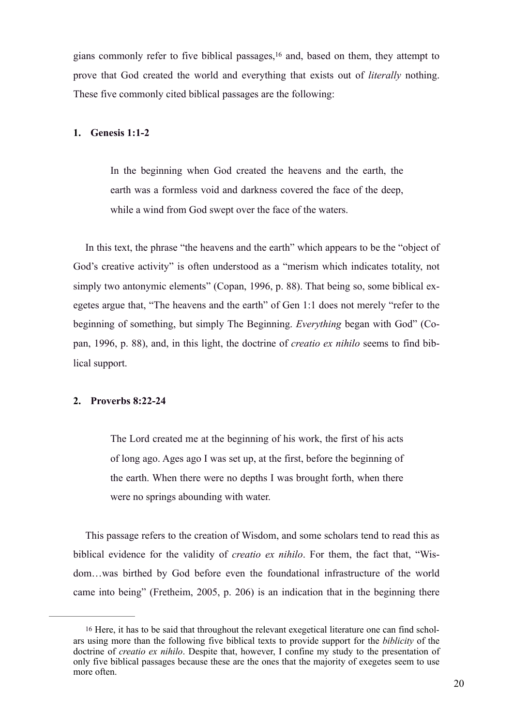gians commonly refer to five biblical passages,  $16$  and, based on them, they attempt to prove that God created the world and everything that exists out of *literally* nothing. These five commonly cited biblical passages are the following:

#### **1. Genesis 1:1-2**

In the beginning when God created the heavens and the earth, the earth was a formless void and darkness covered the face of the deep, while a wind from God swept over the face of the waters.

In this text, the phrase "the heavens and the earth" which appears to be the "object of God's creative activity" is often understood as a "merism which indicates totality, not simply two antonymic elements" (Copan, 1996, p. 88). That being so, some biblical exegetes argue that, "The heavens and the earth" of Gen 1:1 does not merely "refer to the beginning of something, but simply The Beginning. *Everything* began with God" (Copan, 1996, p. 88), and, in this light, the doctrine of *creatio ex nihilo* seems to find biblical support.

#### **2. Proverbs 8:22-24**

The Lord created me at the beginning of his work, the first of his acts of long ago. Ages ago I was set up, at the first, before the beginning of the earth. When there were no depths I was brought forth, when there were no springs abounding with water.

This passage refers to the creation of Wisdom, and some scholars tend to read this as biblical evidence for the validity of *creatio ex nihilo*. For them, the fact that, "Wisdom…was birthed by God before even the foundational infrastructure of the world came into being" (Fretheim, 2005, p. 206) is an indication that in the beginning there

<sup>16</sup> Here, it has to be said that throughout the relevant exegetical literature one can find scholars using more than the following five biblical texts to provide support for the *biblicity* of the doctrine of *creatio ex nihilo*. Despite that, however, I confine my study to the presentation of only five biblical passages because these are the ones that the majority of exegetes seem to use more often.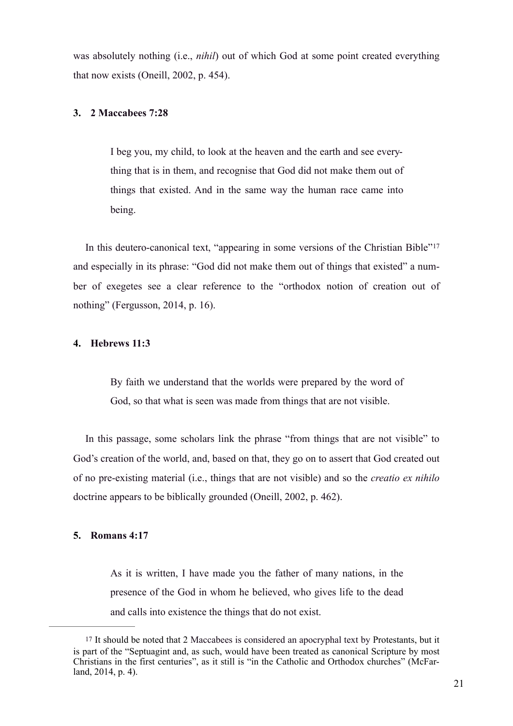was absolutely nothing (i.e., *nihil*) out of which God at some point created everything that now exists (Oneill, 2002, p. 454).

#### **3. 2 Maccabees 7:28**

I beg you, my child, to look at the heaven and the earth and see everything that is in them, and recognise that God did not make them out of things that existed. And in the same way the human race came into being.

In this deutero-canonical text, "appearing in some versions of the Christian Bible"17 and especially in its phrase: "God did not make them out of things that existed" a number of exegetes see a clear reference to the "orthodox notion of creation out of nothing" (Fergusson, 2014, p. 16).

#### **4. Hebrews 11:3**

By faith we understand that the worlds were prepared by the word of God, so that what is seen was made from things that are not visible.

In this passage, some scholars link the phrase "from things that are not visible" to God's creation of the world, and, based on that, they go on to assert that God created out of no pre-existing material (i.e., things that are not visible) and so the *creatio ex nihilo* doctrine appears to be biblically grounded (Oneill, 2002, p. 462).

#### **5. Romans 4:17**

As it is written, I have made you the father of many nations, in the presence of the God in whom he believed, who gives life to the dead and calls into existence the things that do not exist.

<sup>17</sup> It should be noted that 2 Maccabees is considered an apocryphal text by Protestants, but it is part of the "Septuagint and, as such, would have been treated as canonical Scripture by most Christians in the first centuries", as it still is "in the Catholic and Orthodox churches" (McFarland, 2014, p. 4).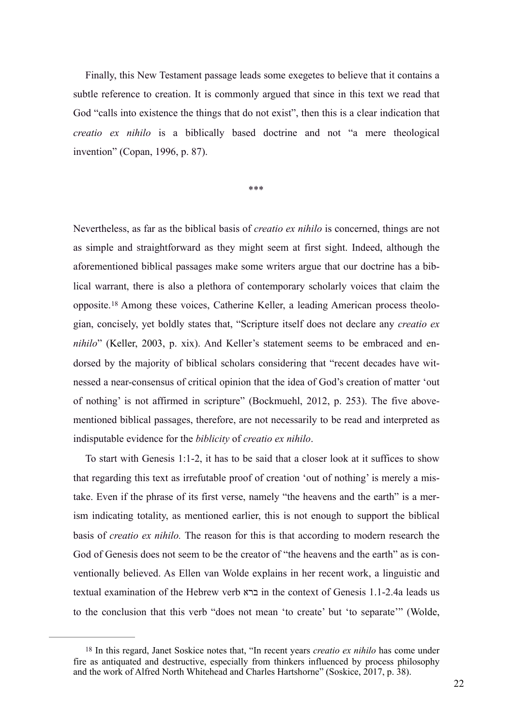Finally, this New Testament passage leads some exegetes to believe that it contains a subtle reference to creation. It is commonly argued that since in this text we read that God "calls into existence the things that do not exist", then this is a clear indication that *creatio ex nihilo* is a biblically based doctrine and not "a mere theological invention" (Copan, 1996, p. 87).

\*\*\*

Nevertheless, as far as the biblical basis of *creatio ex nihilo* is concerned, things are not as simple and straightforward as they might seem at first sight. Indeed, although the aforementioned biblical passages make some writers argue that our doctrine has a biblical warrant, there is also a plethora of contemporary scholarly voices that claim the opposite.18 Among these voices, Catherine Keller, a leading American process theologian, concisely, yet boldly states that, "Scripture itself does not declare any *creatio ex nihilo*" (Keller, 2003, p. xix). And Keller's statement seems to be embraced and endorsed by the majority of biblical scholars considering that "recent decades have witnessed a near-consensus of critical opinion that the idea of God's creation of matter 'out of nothing' is not affirmed in scripture" (Bockmuehl, 2012, p. 253). The five abovementioned biblical passages, therefore, are not necessarily to be read and interpreted as indisputable evidence for the *biblicity* of *creatio ex nihilo*.

To start with Genesis 1:1-2, it has to be said that a closer look at it suffices to show that regarding this text as irrefutable proof of creation 'out of nothing' is merely a mistake. Even if the phrase of its first verse, namely "the heavens and the earth" is a merism indicating totality, as mentioned earlier, this is not enough to support the biblical basis of *creatio ex nihilo.* The reason for this is that according to modern research the God of Genesis does not seem to be the creator of "the heavens and the earth" as is conventionally believed. As Ellen van Wolde explains in her recent work, a linguistic and textual examination of the Hebrew verb ברא in the context of Genesis 1.1-2.4a leads us to the conclusion that this verb "does not mean 'to create' but 'to separate'" (Wolde,

<sup>18</sup> In this regard, Janet Soskice notes that, "In recent years *creatio ex nihilo* has come under fire as antiquated and destructive, especially from thinkers influenced by process philosophy and the work of Alfred North Whitehead and Charles Hartshorne" (Soskice, 2017, p. 38).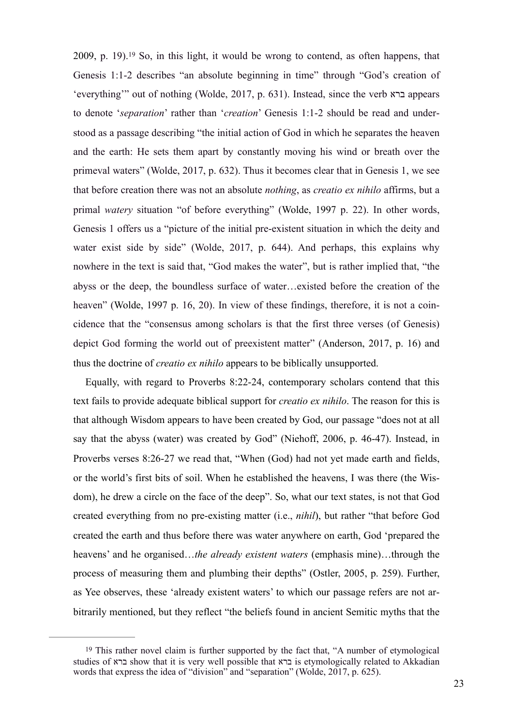2009, p. 19).<sup>19</sup> So, in this light, it would be wrong to contend, as often happens, that Genesis 1:1-2 describes "an absolute beginning in time" through "God's creation of 'everything'" out of nothing (Wolde, 2017, p. 631). Instead, since the verb ברא appears to denote '*separation*' rather than '*creation*' Genesis 1:1-2 should be read and understood as a passage describing "the initial action of God in which he separates the heaven and the earth: He sets them apart by constantly moving his wind or breath over the primeval waters" (Wolde, 2017, p. 632). Thus it becomes clear that in Genesis 1, we see that before creation there was not an absolute *nothing*, as *creatio ex nihilo* affirms, but a primal *watery* situation "of before everything" (Wolde, 1997 p. 22). In other words, Genesis 1 offers us a "picture of the initial pre-existent situation in which the deity and water exist side by side" (Wolde, 2017, p. 644). And perhaps, this explains why nowhere in the text is said that, "God makes the water", but is rather implied that, "the abyss or the deep, the boundless surface of water…existed before the creation of the heaven" (Wolde, 1997 p. 16, 20). In view of these findings, therefore, it is not a coincidence that the "consensus among scholars is that the first three verses (of Genesis) depict God forming the world out of preexistent matter" (Anderson, 2017, p. 16) and thus the doctrine of *creatio ex nihilo* appears to be biblically unsupported.

Equally, with regard to Proverbs 8:22-24, contemporary scholars contend that this text fails to provide adequate biblical support for *creatio ex nihilo*. The reason for this is that although Wisdom appears to have been created by God, our passage "does not at all say that the abyss (water) was created by God" (Niehoff, 2006, p. 46-47). Instead, in Proverbs verses 8:26-27 we read that, "When (God) had not yet made earth and fields, or the world's first bits of soil. When he established the heavens, I was there (the Wisdom), he drew a circle on the face of the deep". So, what our text states, is not that God created everything from no pre-existing matter (i.e., *nihil*), but rather "that before God created the earth and thus before there was water anywhere on earth, God 'prepared the heavens' and he organised…*the already existent waters* (emphasis mine)…through the process of measuring them and plumbing their depths" (Ostler, 2005, p. 259). Further, as Yee observes, these 'already existent waters' to which our passage refers are not arbitrarily mentioned, but they reflect "the beliefs found in ancient Semitic myths that the

<sup>19</sup> This rather novel claim is further supported by the fact that, "A number of etymological studies of ברא show that it is very well possible that ברא is etymologically related to Akkadian words that express the idea of "division" and "separation" (Wolde, 2017, p. 625).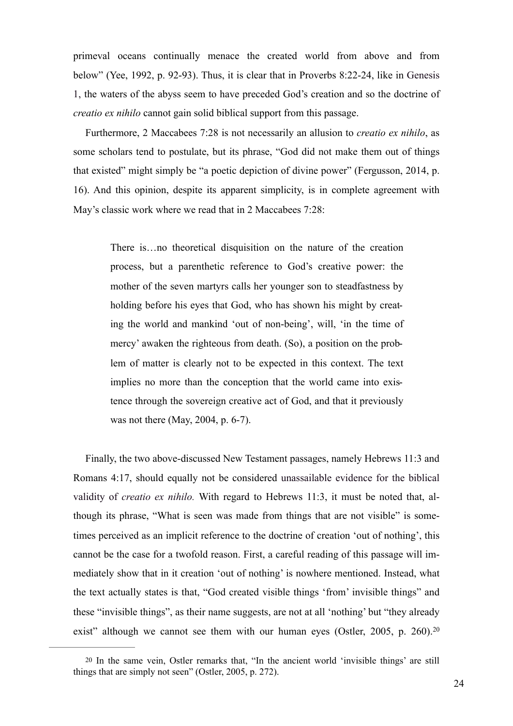primeval oceans continually menace the created world from above and from below" (Yee, 1992, p. 92-93). Thus, it is clear that in Proverbs 8:22-24, like in Genesis 1, the waters of the abyss seem to have preceded God's creation and so the doctrine of *creatio ex nihilo* cannot gain solid biblical support from this passage.

Furthermore, 2 Maccabees 7:28 is not necessarily an allusion to *creatio ex nihilo*, as some scholars tend to postulate, but its phrase, "God did not make them out of things that existed" might simply be "a poetic depiction of divine power" (Fergusson, 2014, p. 16). And this opinion, despite its apparent simplicity, is in complete agreement with May's classic work where we read that in 2 Maccabees 7:28:

There is…no theoretical disquisition on the nature of the creation process, but a parenthetic reference to God's creative power: the mother of the seven martyrs calls her younger son to steadfastness by holding before his eyes that God, who has shown his might by creating the world and mankind 'out of non-being', will, 'in the time of mercy' awaken the righteous from death. (So), a position on the problem of matter is clearly not to be expected in this context. The text implies no more than the conception that the world came into existence through the sovereign creative act of God, and that it previously was not there (May, 2004, p. 6-7).

Finally, the two above-discussed New Testament passages, namely Hebrews 11:3 and Romans 4:17, should equally not be considered unassailable evidence for the biblical validity of *creatio ex nihilo.* With regard to Hebrews 11:3, it must be noted that, although its phrase, "What is seen was made from things that are not visible" is sometimes perceived as an implicit reference to the doctrine of creation 'out of nothing', this cannot be the case for a twofold reason. First, a careful reading of this passage will immediately show that in it creation 'out of nothing' is nowhere mentioned. Instead, what the text actually states is that, "God created visible things 'from' invisible things" and these "invisible things", as their name suggests, are not at all 'nothing' but "they already exist" although we cannot see them with our human eyes (Ostler, 2005, p. 260).<sup>20</sup>

<sup>20</sup> In the same vein, Ostler remarks that, "In the ancient world 'invisible things' are still things that are simply not seen" (Ostler, 2005, p. 272).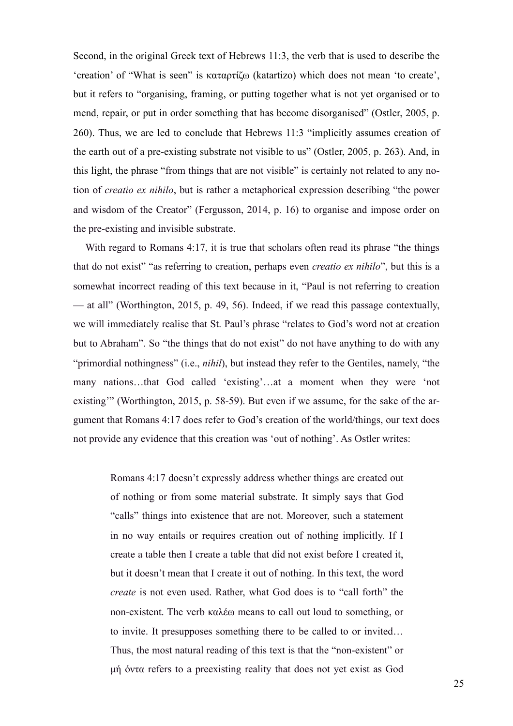Second, in the original Greek text of Hebrews 11:3, the verb that is used to describe the 'creation' of "What is seen" is καταρτίζω (katartizo) which does not mean 'to create', but it refers to "organising, framing, or putting together what is not yet organised or to mend, repair, or put in order something that has become disorganised" (Ostler, 2005, p. 260). Thus, we are led to conclude that Hebrews 11:3 "implicitly assumes creation of the earth out of a pre-existing substrate not visible to us" (Ostler, 2005, p. 263). And, in this light, the phrase "from things that are not visible" is certainly not related to any notion of *creatio ex nihilo*, but is rather a metaphorical expression describing "the power and wisdom of the Creator" (Fergusson, 2014, p. 16) to organise and impose order on the pre-existing and invisible substrate.

With regard to Romans 4:17, it is true that scholars often read its phrase "the things" that do not exist" "as referring to creation, perhaps even *creatio ex nihilo*", but this is a somewhat incorrect reading of this text because in it, "Paul is not referring to creation — at all" (Worthington, 2015, p. 49, 56). Indeed, if we read this passage contextually, we will immediately realise that St. Paul's phrase "relates to God's word not at creation but to Abraham". So "the things that do not exist" do not have anything to do with any "primordial nothingness" (i.e., *nihil*), but instead they refer to the Gentiles, namely, "the many nations…that God called 'existing'…at a moment when they were 'not existing'" (Worthington, 2015, p. 58-59). But even if we assume, for the sake of the argument that Romans 4:17 does refer to God's creation of the world/things, our text does not provide any evidence that this creation was 'out of nothing'. As Ostler writes:

> Romans 4:17 doesn't expressly address whether things are created out of nothing or from some material substrate. It simply says that God "calls" things into existence that are not. Moreover, such a statement in no way entails or requires creation out of nothing implicitly. If I create a table then I create a table that did not exist before I created it, but it doesn't mean that I create it out of nothing. In this text, the word *create* is not even used. Rather, what God does is to "call forth" the non-existent. The verb καλέω means to call out loud to something, or to invite. It presupposes something there to be called to or invited… Thus, the most natural reading of this text is that the "non-existent" or µή όντα refers to a preexisting reality that does not yet exist as God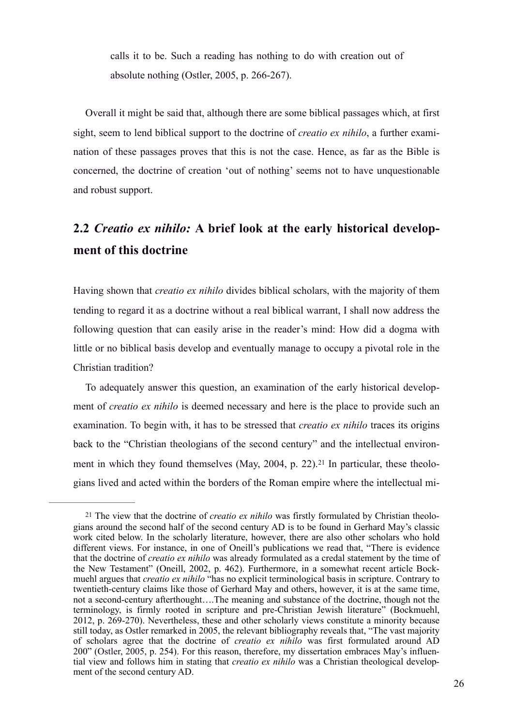calls it to be. Such a reading has nothing to do with creation out of absolute nothing (Ostler, 2005, p. 266-267).

Overall it might be said that, although there are some biblical passages which, at first sight, seem to lend biblical support to the doctrine of *creatio ex nihilo*, a further examination of these passages proves that this is not the case. Hence, as far as the Bible is concerned, the doctrine of creation 'out of nothing' seems not to have unquestionable and robust support.

## **2.2** *Creatio ex nihilo:* **A brief look at the early historical development of this doctrine**

Having shown that *creatio ex nihilo* divides biblical scholars, with the majority of them tending to regard it as a doctrine without a real biblical warrant, I shall now address the following question that can easily arise in the reader's mind: How did a dogma with little or no biblical basis develop and eventually manage to occupy a pivotal role in the Christian tradition?

To adequately answer this question, an examination of the early historical development of *creatio ex nihilo* is deemed necessary and here is the place to provide such an examination. To begin with, it has to be stressed that *creatio ex nihilo* traces its origins back to the "Christian theologians of the second century" and the intellectual environment in which they found themselves (May, 2004, p. 22).<sup>21</sup> In particular, these theologians lived and acted within the borders of the Roman empire where the intellectual mi-

<sup>21</sup> The view that the doctrine of *creatio ex nihilo* was firstly formulated by Christian theologians around the second half of the second century AD is to be found in Gerhard May's classic work cited below. In the scholarly literature, however, there are also other scholars who hold different views. For instance, in one of Oneill's publications we read that, "There is evidence that the doctrine of *creatio ex nihilo* was already formulated as a credal statement by the time of the New Testament" (Oneill, 2002, p. 462). Furthermore, in a somewhat recent article Bockmuehl argues that *creatio ex nihilo* "has no explicit terminological basis in scripture. Contrary to twentieth-century claims like those of Gerhard May and others, however, it is at the same time, not a second-century afterthought….The meaning and substance of the doctrine, though not the terminology, is firmly rooted in scripture and pre-Christian Jewish literature" (Bockmuehl, 2012, p. 269-270). Nevertheless, these and other scholarly views constitute a minority because still today, as Ostler remarked in 2005, the relevant bibliography reveals that, "The vast majority of scholars agree that the doctrine of *creatio ex nihilo* was first formulated around AD 200" (Ostler, 2005, p. 254). For this reason, therefore, my dissertation embraces May's influential view and follows him in stating that *creatio ex nihilo* was a Christian theological development of the second century AD.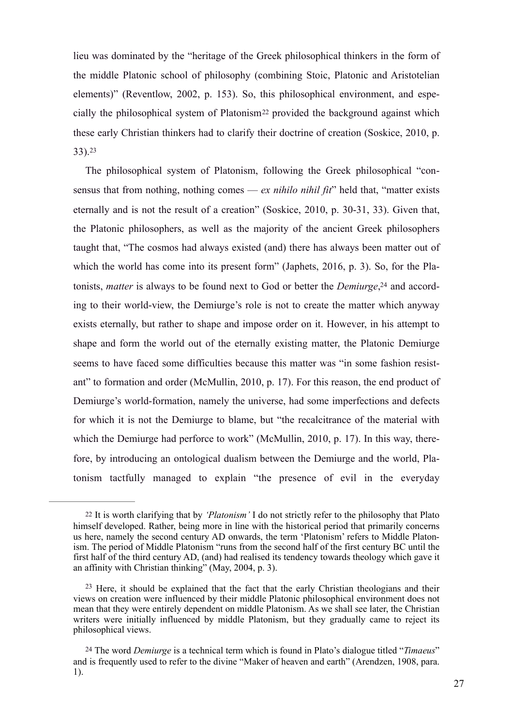lieu was dominated by the "heritage of the Greek philosophical thinkers in the form of the middle Platonic school of philosophy (combining Stoic, Platonic and Aristotelian elements)" (Reventlow, 2002, p. 153). So, this philosophical environment, and especially the philosophical system of Platonism22 provided the background against which these early Christian thinkers had to clarify their doctrine of creation (Soskice, 2010, p. 33). 23

The philosophical system of Platonism, following the Greek philosophical "consensus that from nothing, nothing comes — *ex nihilo nihil fit*" held that, "matter exists eternally and is not the result of a creation" (Soskice, 2010, p. 30-31, 33). Given that, the Platonic philosophers, as well as the majority of the ancient Greek philosophers taught that, "The cosmos had always existed (and) there has always been matter out of which the world has come into its present form" (Japhets, 2016, p. 3). So, for the Platonists, *matter* is always to be found next to God or better the *Demiurge*, 24 and according to their world-view, the Demiurge's role is not to create the matter which anyway exists eternally, but rather to shape and impose order on it. However, in his attempt to shape and form the world out of the eternally existing matter, the Platonic Demiurge seems to have faced some difficulties because this matter was "in some fashion resistant" to formation and order (McMullin, 2010, p. 17). For this reason, the end product of Demiurge's world-formation, namely the universe, had some imperfections and defects for which it is not the Demiurge to blame, but "the recalcitrance of the material with which the Demiurge had perforce to work" (McMullin, 2010, p. 17). In this way, therefore, by introducing an ontological dualism between the Demiurge and the world, Platonism tactfully managed to explain "the presence of evil in the everyday

<sup>22</sup> It is worth clarifying that by *'Platonism'* I do not strictly refer to the philosophy that Plato himself developed. Rather, being more in line with the historical period that primarily concerns us here, namely the second century AD onwards, the term 'Platonism' refers to Middle Platonism. The period of Middle Platonism "runs from the second half of the first century BC until the first half of the third century AD, (and) had realised its tendency towards theology which gave it an affinity with Christian thinking" (May, 2004, p. 3).

 $23$  Here, it should be explained that the fact that the early Christian theologians and their views on creation were influenced by their middle Platonic philosophical environment does not mean that they were entirely dependent on middle Platonism. As we shall see later, the Christian writers were initially influenced by middle Platonism, but they gradually came to reject its philosophical views.

<sup>24</sup> The word *Demiurge* is a technical term which is found in Plato's dialogue titled "*Timaeus*" and is frequently used to refer to the divine "Maker of heaven and earth" (Arendzen, 1908, para. 1).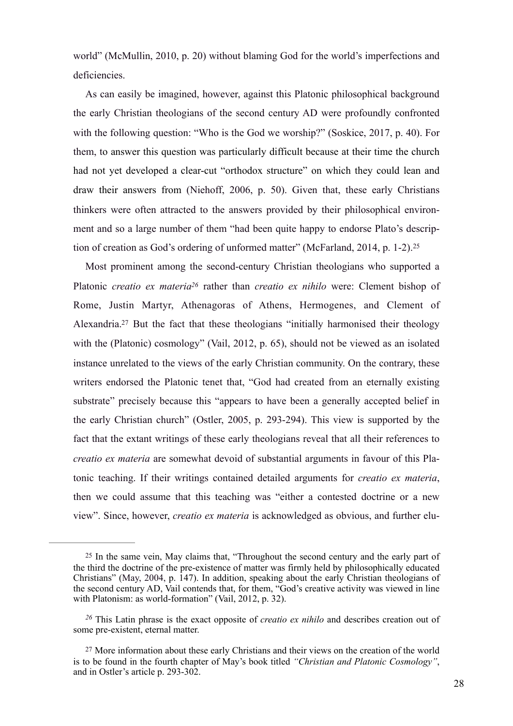world" (McMullin, 2010, p. 20) without blaming God for the world's imperfections and deficiencies.

As can easily be imagined, however, against this Platonic philosophical background the early Christian theologians of the second century AD were profoundly confronted with the following question: "Who is the God we worship?" (Soskice, 2017, p. 40). For them, to answer this question was particularly difficult because at their time the church had not yet developed a clear-cut "orthodox structure" on which they could lean and draw their answers from (Niehoff, 2006, p. 50). Given that, these early Christians thinkers were often attracted to the answers provided by their philosophical environment and so a large number of them "had been quite happy to endorse Plato's description of creation as God's ordering of unformed matter" (McFarland, 2014, p. 1-2).<sup>25</sup>

Most prominent among the second-century Christian theologians who supported a Platonic *creatio ex materia*<sup>26</sup> rather than *creatio ex nihilo* were: Clement bishop of Rome, Justin Martyr, Athenagoras of Athens, Hermogenes, and Clement of Alexandria.<sup>27</sup> But the fact that these theologians "initially harmonised their theology with the (Platonic) cosmology" (Vail, 2012, p. 65), should not be viewed as an isolated instance unrelated to the views of the early Christian community. On the contrary, these writers endorsed the Platonic tenet that, "God had created from an eternally existing substrate" precisely because this "appears to have been a generally accepted belief in the early Christian church" (Ostler, 2005, p. 293-294). This view is supported by the fact that the extant writings of these early theologians reveal that all their references to *creatio ex materia* are somewhat devoid of substantial arguments in favour of this Platonic teaching. If their writings contained detailed arguments for *creatio ex materia*, then we could assume that this teaching was "either a contested doctrine or a new view". Since, however, *creatio ex materia* is acknowledged as obvious, and further elu-

<sup>25</sup> In the same vein, May claims that, "Throughout the second century and the early part of the third the doctrine of the pre-existence of matter was firmly held by philosophically educated Christians" (May, 2004, p. 147). In addition, speaking about the early Christian theologians of the second century AD, Vail contends that, for them, "God's creative activity was viewed in line with Platonism: as world-formation" (Vail, 2012, p. 32).

<sup>&</sup>lt;sup>26</sup> This Latin phrase is the exact opposite of *creatio ex nihilo* and describes creation out of some pre-existent, eternal matter.

<sup>27</sup> More information about these early Christians and their views on the creation of the world is to be found in the fourth chapter of May's book titled *"Christian and Platonic Cosmology"*, and in Ostler's article p. 293-302.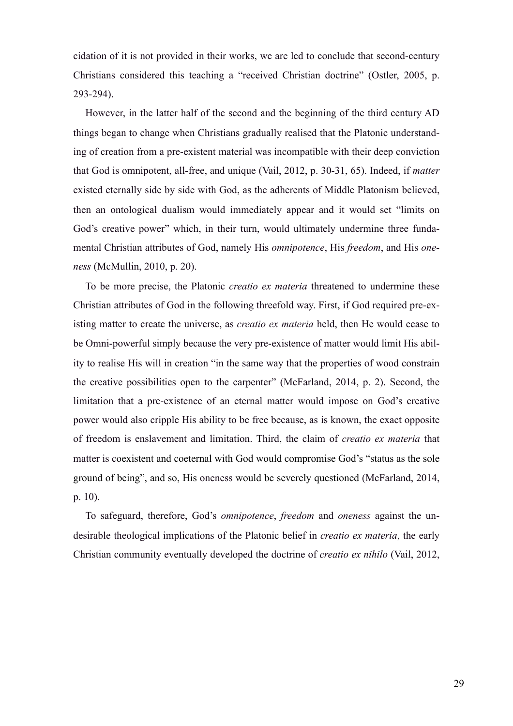cidation of it is not provided in their works, we are led to conclude that second-century Christians considered this teaching a "received Christian doctrine" (Ostler, 2005, p. 293-294).

However, in the latter half of the second and the beginning of the third century AD things began to change when Christians gradually realised that the Platonic understanding of creation from a pre-existent material was incompatible with their deep conviction that God is omnipotent, all-free, and unique (Vail, 2012, p. 30-31, 65). Indeed, if *matter* existed eternally side by side with God, as the adherents of Middle Platonism believed, then an ontological dualism would immediately appear and it would set "limits on God's creative power" which, in their turn, would ultimately undermine three fundamental Christian attributes of God, namely His *omnipotence*, His *freedom*, and His *oneness* (McMullin, 2010, p. 20).

To be more precise, the Platonic *creatio ex materia* threatened to undermine these Christian attributes of God in the following threefold way. First, if God required pre-existing matter to create the universe, as *creatio ex materia* held, then He would cease to be Omni-powerful simply because the very pre-existence of matter would limit His ability to realise His will in creation "in the same way that the properties of wood constrain the creative possibilities open to the carpenter" (McFarland, 2014, p. 2). Second, the limitation that a pre-existence of an eternal matter would impose on God's creative power would also cripple His ability to be free because, as is known, the exact opposite of freedom is enslavement and limitation. Third, the claim of *creatio ex materia* that matter is coexistent and coeternal with God would compromise God's "status as the sole ground of being", and so, His oneness would be severely questioned (McFarland, 2014, p. 10).

To safeguard, therefore, God's *omnipotence*, *freedom* and *oneness* against the undesirable theological implications of the Platonic belief in *creatio ex materia*, the early Christian community eventually developed the doctrine of *creatio ex nihilo* (Vail, 2012,

29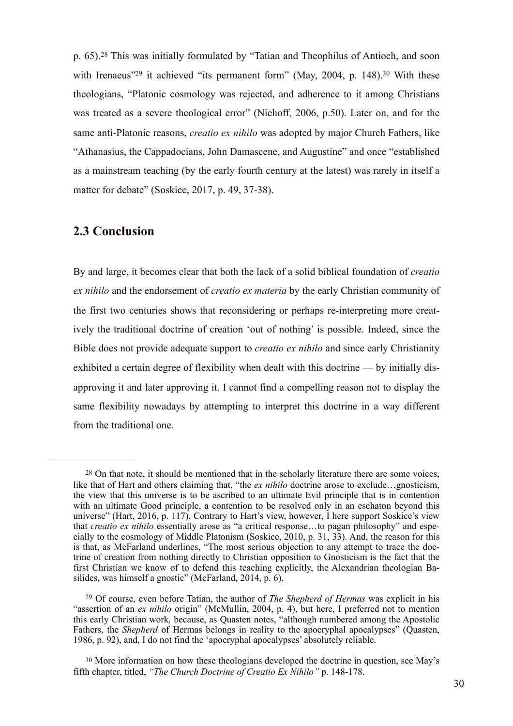p. 65).<sup>28</sup> This was initially formulated by "Tatian and Theophilus of Antioch, and soon with Irenaeus<sup> $29$ </sup> it achieved "its permanent form" (May, 2004, p. 148).<sup>30</sup> With these theologians, "Platonic cosmology was rejected, and adherence to it among Christians was treated as a severe theological error" (Niehoff, 2006, p.50). Later on, and for the same anti-Platonic reasons, *creatio ex nihilo* was adopted by major Church Fathers, like "Athanasius, the Cappadocians, John Damascene, and Augustine" and once "established as a mainstream teaching (by the early fourth century at the latest) was rarely in itself a matter for debate" (Soskice, 2017, p. 49, 37-38).

### **2.3 Conclusion**

By and large, it becomes clear that both the lack of a solid biblical foundation of *creatio ex nihilo* and the endorsement of *creatio ex materia* by the early Christian community of the first two centuries shows that reconsidering or perhaps re-interpreting more creatively the traditional doctrine of creation 'out of nothing' is possible. Indeed, since the Bible does not provide adequate support to *creatio ex nihilo* and since early Christianity exhibited a certain degree of flexibility when dealt with this doctrine — by initially disapproving it and later approving it. I cannot find a compelling reason not to display the same flexibility nowadays by attempting to interpret this doctrine in a way different from the traditional one.

<sup>28</sup> On that note, it should be mentioned that in the scholarly literature there are some voices, like that of Hart and others claiming that, "the *ex nihilo* doctrine arose to exclude…gnosticism, the view that this universe is to be ascribed to an ultimate Evil principle that is in contention with an ultimate Good principle, a contention to be resolved only in an eschaton beyond this universe" (Hart, 2016, p. 117). Contrary to Hart's view, however, I here support Soskice's view that *creatio ex nihilo* essentially arose as "a critical response…to pagan philosophy" and especially to the cosmology of Middle Platonism (Soskice, 2010, p. 31, 33). And, the reason for this is that, as McFarland underlines, "The most serious objection to any attempt to trace the doctrine of creation from nothing directly to Christian opposition to Gnosticism is the fact that the first Christian we know of to defend this teaching explicitly, the Alexandrian theologian Basilides, was himself a gnostic" (McFarland, 2014, p. 6).

<sup>&</sup>lt;sup>29</sup> Of course, even before Tatian, the author of *The Shepherd of Hermas* was explicit in his "assertion of an *ex nihilo* origin" (McMullin, 2004, p. 4), but here, I preferred not to mention this early Christian work*,* because, as Quasten notes, "although numbered among the Apostolic Fathers, the *Shepherd* of Hermas belongs in reality to the apocryphal apocalypses" (Quasten, 1986, p. 92), and, I do not find the 'apocryphal apocalypses' absolutely reliable.

<sup>30</sup> More information on how these theologians developed the doctrine in question, see May's fifth chapter, titled, *"The Church Doctrine of Creatio Ex Nihilo"* p. 148-178.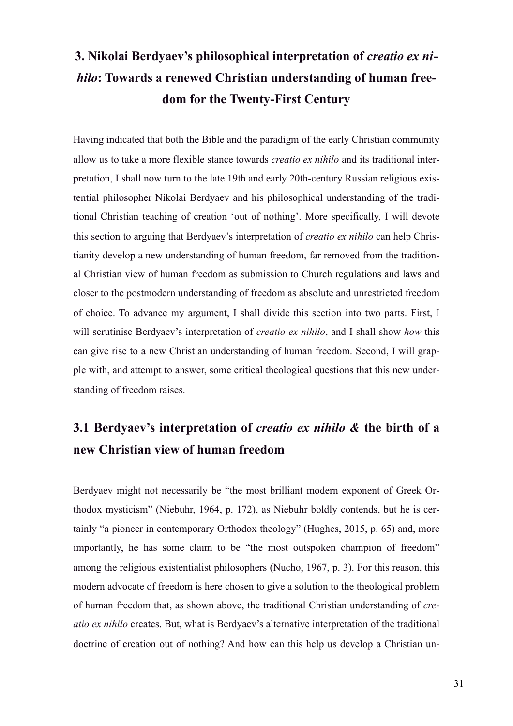## **3. Nikolai Berdyaev's philosophical interpretation of** *creatio ex nihilo***: Towards a renewed Christian understanding of human freedom for the Twenty-First Century**

Having indicated that both the Bible and the paradigm of the early Christian community allow us to take a more flexible stance towards *creatio ex nihilo* and its traditional interpretation, I shall now turn to the late 19th and early 20th-century Russian religious existential philosopher Nikolai Berdyaev and his philosophical understanding of the traditional Christian teaching of creation 'out of nothing'. More specifically, I will devote this section to arguing that Berdyaev's interpretation of *creatio ex nihilo* can help Christianity develop a new understanding of human freedom, far removed from the traditional Christian view of human freedom as submission to Church regulations and laws and closer to the postmodern understanding of freedom as absolute and unrestricted freedom of choice. To advance my argument, I shall divide this section into two parts. First, I will scrutinise Berdyaev's interpretation of *creatio ex nihilo*, and I shall show *how* this can give rise to a new Christian understanding of human freedom. Second, I will grapple with, and attempt to answer, some critical theological questions that this new understanding of freedom raises.

## **3.1 Berdyaev's interpretation of** *creatio ex nihilo &* **the birth of a new Christian view of human freedom**

Berdyaev might not necessarily be "the most brilliant modern exponent of Greek Orthodox mysticism" (Niebuhr, 1964, p. 172), as Niebuhr boldly contends, but he is certainly "a pioneer in contemporary Orthodox theology" (Hughes, 2015, p. 65) and, more importantly, he has some claim to be "the most outspoken champion of freedom" among the religious existentialist philosophers (Nucho, 1967, p. 3). For this reason, this modern advocate of freedom is here chosen to give a solution to the theological problem of human freedom that, as shown above, the traditional Christian understanding of *creatio ex nihilo* creates. But, what is Berdyaev's alternative interpretation of the traditional doctrine of creation out of nothing? And how can this help us develop a Christian un-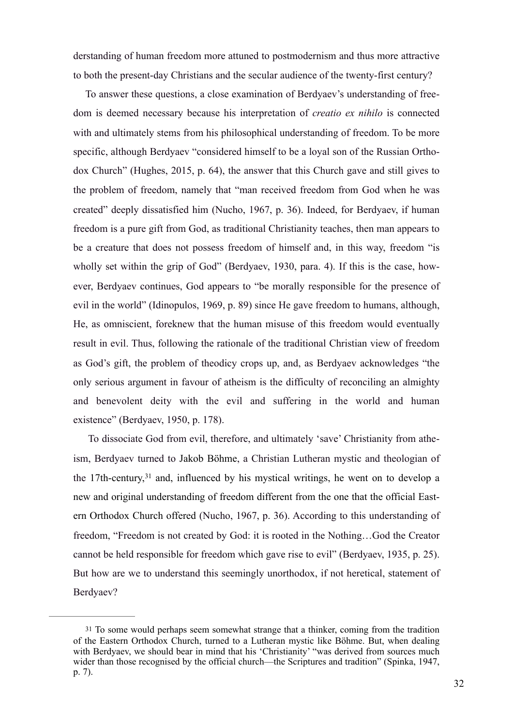derstanding of human freedom more attuned to postmodernism and thus more attractive to both the present-day Christians and the secular audience of the twenty-first century?

To answer these questions, a close examination of Berdyaev's understanding of freedom is deemed necessary because his interpretation of *creatio ex nihilo* is connected with and ultimately stems from his philosophical understanding of freedom. To be more specific, although Berdyaev "considered himself to be a loyal son of the Russian Orthodox Church" (Hughes, 2015, p. 64), the answer that this Church gave and still gives to the problem of freedom, namely that "man received freedom from God when he was created" deeply dissatisfied him (Nucho, 1967, p. 36). Indeed, for Berdyaev, if human freedom is a pure gift from God, as traditional Christianity teaches, then man appears to be a creature that does not possess freedom of himself and, in this way, freedom "is wholly set within the grip of God" (Berdyaev, 1930, para. 4). If this is the case, however, Berdyaev continues, God appears to "be morally responsible for the presence of evil in the world" (Idinopulos, 1969, p. 89) since He gave freedom to humans, although, He, as omniscient, foreknew that the human misuse of this freedom would eventually result in evil. Thus, following the rationale of the traditional Christian view of freedom as God's gift, the problem of theodicy crops up, and, as Berdyaev acknowledges "the only serious argument in favour of atheism is the difficulty of reconciling an almighty and benevolent deity with the evil and suffering in the world and human existence" (Berdyaev, 1950, p. 178).

 To dissociate God from evil, therefore, and ultimately 'save' Christianity from atheism, Berdyaev turned to Jakob Böhme, a Christian Lutheran mystic and theologian of the 17th-century,  $31$  and, influenced by his mystical writings, he went on to develop a new and original understanding of freedom different from the one that the official Eastern Orthodox Church offered (Nucho, 1967, p. 36). According to this understanding of freedom, "Freedom is not created by God: it is rooted in the Nothing…God the Creator cannot be held responsible for freedom which gave rise to evil" (Berdyaev, 1935, p. 25). But how are we to understand this seemingly unorthodox, if not heretical, statement of Berdyaev?

<sup>31</sup> To some would perhaps seem somewhat strange that a thinker, coming from the tradition of the Eastern Orthodox Church, turned to a Lutheran mystic like Böhme. But, when dealing with Berdyaev, we should bear in mind that his 'Christianity' "was derived from sources much wider than those recognised by the official church—the Scriptures and tradition" (Spinka, 1947, p. 7).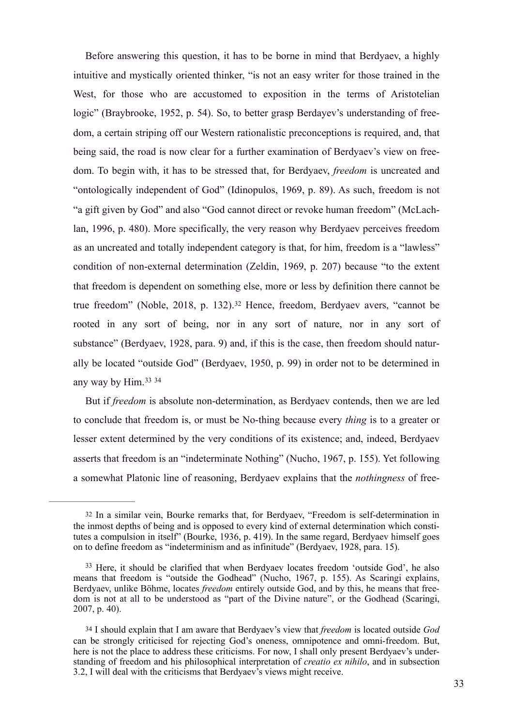Before answering this question, it has to be borne in mind that Berdyaev, a highly intuitive and mystically oriented thinker, "is not an easy writer for those trained in the West, for those who are accustomed to exposition in the terms of Aristotelian logic" (Braybrooke, 1952, p. 54). So, to better grasp Berdayev's understanding of freedom, a certain striping off our Western rationalistic preconceptions is required, and, that being said, the road is now clear for a further examination of Berdyaev's view on freedom. To begin with, it has to be stressed that, for Berdyaev, *freedom* is uncreated and "ontologically independent of God" (Idinopulos, 1969, p. 89). As such, freedom is not "a gift given by God" and also "God cannot direct or revoke human freedom" (McLachlan, 1996, p. 480). More specifically, the very reason why Berdyaev perceives freedom as an uncreated and totally independent category is that, for him, freedom is a "lawless" condition of non-external determination (Zeldin, 1969, p. 207) because "to the extent that freedom is dependent on something else, more or less by definition there cannot be true freedom" (Noble, 2018, p. 132).<sup>32</sup> Hence, freedom, Berdyaev avers, "cannot be rooted in any sort of being, nor in any sort of nature, nor in any sort of substance" (Berdyaev, 1928, para. 9) and, if this is the case, then freedom should naturally be located "outside God" (Berdyaev, 1950, p. 99) in order not to be determined in any way by Him.33 <sup>34</sup>

But if *freedom* is absolute non-determination, as Berdyaev contends, then we are led to conclude that freedom is, or must be No-thing because every *thing* is to a greater or lesser extent determined by the very conditions of its existence; and, indeed, Berdyaev asserts that freedom is an "indeterminate Nothing" (Nucho, 1967, p. 155). Yet following a somewhat Platonic line of reasoning, Berdyaev explains that the *nothingness* of free-

<sup>32</sup> In a similar vein, Bourke remarks that, for Berdyaev, "Freedom is self-determination in the inmost depths of being and is opposed to every kind of external determination which constitutes a compulsion in itself" (Bourke, 1936, p. 419). In the same regard, Berdyaev himself goes on to define freedom as "indeterminism and as infinitude" (Berdyaev, 1928, para. 15).

<sup>&</sup>lt;sup>33</sup> Here, it should be clarified that when Berdyaev locates freedom 'outside God', he also means that freedom is "outside the Godhead" (Nucho, 1967, p. 155). As Scaringi explains, Berdyaev, unlike Böhme, locates *freedom* entirely outside God, and by this, he means that freedom is not at all to be understood as "part of the Divine nature", or the Godhead (Scaringi, 2007, p. 40).

<sup>34</sup> I should explain that I am aware that Berdyaev's view that *freedom* is located outside *God* can be strongly criticised for rejecting God's oneness, omnipotence and omni-freedom. But, here is not the place to address these criticisms. For now, I shall only present Berdyaev's understanding of freedom and his philosophical interpretation of *creatio ex nihilo*, and in subsection 3.2, I will deal with the criticisms that Berdyaev's views might receive.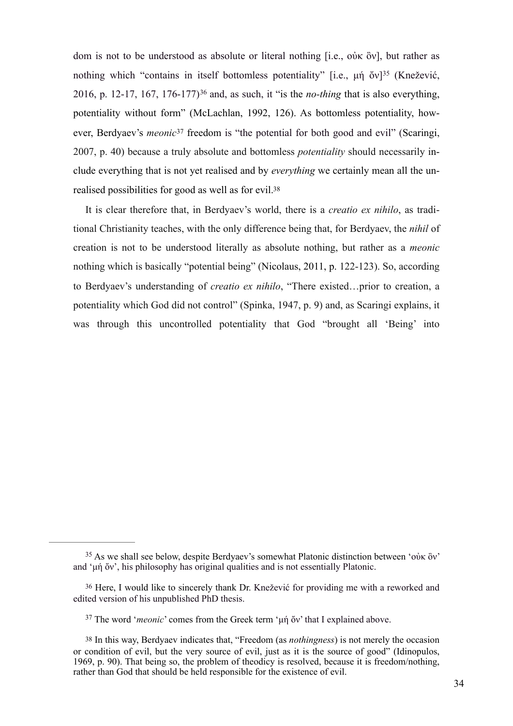dom is not to be understood as absolute or literal nothing [i.e., οὐκ ὂν], but rather as nothing which "contains in itself bottomless potentiality" [i.e., μή ὄν]<sup>35</sup> (Knežević, 2016, p. 12-17, 167, 176-177)<sup>36</sup> and, as such, it "is the *no-thing* that is also everything, potentiality without form" (McLachlan, 1992, 126). As bottomless potentiality, however, Berdyaev's *meonic*<sup>37</sup> freedom is "the potential for both good and evil" (Scaringi, 2007, p. 40) because a truly absolute and bottomless *potentiality* should necessarily include everything that is not yet realised and by *everything* we certainly mean all the unrealised possibilities for good as well as for evil.38

It is clear therefore that, in Berdyaev's world, there is a *creatio ex nihilo*, as traditional Christianity teaches, with the only difference being that, for Berdyaev, the *nihil* of creation is not to be understood literally as absolute nothing, but rather as a *meonic* nothing which is basically "potential being" (Nicolaus, 2011, p. 122-123). So, according to Berdyaev's understanding of *creatio ex nihilo*, "There existed…prior to creation, a potentiality which God did not control" (Spinka, 1947, p. 9) and, as Scaringi explains, it was through this uncontrolled potentiality that God "brought all 'Being' into

 $35$  As we shall see below, despite Berdyaev's somewhat Platonic distinction between 'οὐκ ὂν' and 'µή ὄν', his philosophy has original qualities and is not essentially Platonic.

<sup>36</sup> Here, I would like to sincerely thank Dr. Knežević for providing me with a reworked and edited version of his unpublished PhD thesis.

<sup>&</sup>lt;sup>37</sup> The word '*meonic*' comes from the Greek term 'μή ὄν' that I explained above.

<sup>38</sup> In this way, Berdyaev indicates that, "Freedom (as *nothingness*) is not merely the occasion or condition of evil, but the very source of evil, just as it is the source of good" (Idinopulos, 1969, p. 90). That being so, the problem of theodicy is resolved, because it is freedom/nothing, rather than God that should be held responsible for the existence of evil.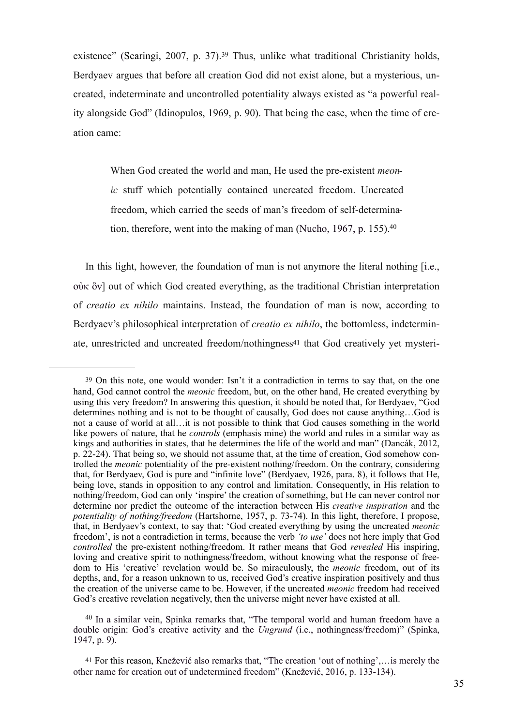existence" (Scaringi, 2007, p. 37).<sup>39</sup> Thus, unlike what traditional Christianity holds, Berdyaev argues that before all creation God did not exist alone, but a mysterious, uncreated, indeterminate and uncontrolled potentiality always existed as "a powerful reality alongside God" (Idinopulos, 1969, p. 90). That being the case, when the time of creation came:

When God created the world and man, He used the pre-existent *meonic* stuff which potentially contained uncreated freedom. Uncreated freedom, which carried the seeds of man's freedom of self-determination, therefore, went into the making of man (Nucho, 1967, p. 155).<sup>40</sup>

In this light, however, the foundation of man is not anymore the literal nothing [i.e., οὐκ ὂν] out of which God created everything, as the traditional Christian interpretation of *creatio ex nihilo* maintains. Instead, the foundation of man is now, according to Berdyaev's philosophical interpretation of *creatio ex nihilo*, the bottomless, indeterminate, unrestricted and uncreated freedom/nothingness41 that God creatively yet mysteri-

<sup>40</sup> In a similar vein, Spinka remarks that, "The temporal world and human freedom have a double origin: God's creative activity and the *Ungrund* (i.e., nothingness/freedom)" (Spinka, 1947, p. 9).

<sup>39</sup> On this note, one would wonder: Isn't it a contradiction in terms to say that, on the one hand, God cannot control the *meonic* freedom, but, on the other hand, He created everything by using this very freedom? In answering this question, it should be noted that, for Berdyaev, "God determines nothing and is not to be thought of causally, God does not cause anything…God is not a cause of world at all…it is not possible to think that God causes something in the world like powers of nature, that he *controls* (emphasis mine) the world and rules in a similar way as kings and authorities in states, that he determines the life of the world and man" (Dancák, 2012, p. 22-24). That being so, we should not assume that, at the time of creation, God somehow controlled the *meonic* potentiality of the pre-existent nothing/freedom. On the contrary, considering that, for Berdyaev, God is pure and "infinite love" (Berdyaev, 1926, para. 8), it follows that He, being love, stands in opposition to any control and limitation. Consequently, in His relation to nothing/freedom, God can only 'inspire' the creation of something, but He can never control nor determine nor predict the outcome of the interaction between His *creative inspiration* and the *potentiality of nothing/freedom* (Hartshorne, 1957, p. 73-74). In this light, therefore, I propose, that, in Berdyaev's context, to say that: 'God created everything by using the uncreated *meonic* freedom', is not a contradiction in terms, because the verb *'to use'* does not here imply that God *controlled* the pre-existent nothing/freedom. It rather means that God *revealed* His inspiring, loving and creative spirit to nothingness/freedom, without knowing what the response of freedom to His 'creative' revelation would be. So miraculously, the *meonic* freedom, out of its depths, and, for a reason unknown to us, received God's creative inspiration positively and thus the creation of the universe came to be. However, if the uncreated *meonic* freedom had received God's creative revelation negatively, then the universe might never have existed at all.

<sup>41</sup> For this reason, Knežević also remarks that, "The creation 'out of nothing',…is merely the other name for creation out of undetermined freedom" (Knežević, 2016, p. 133-134).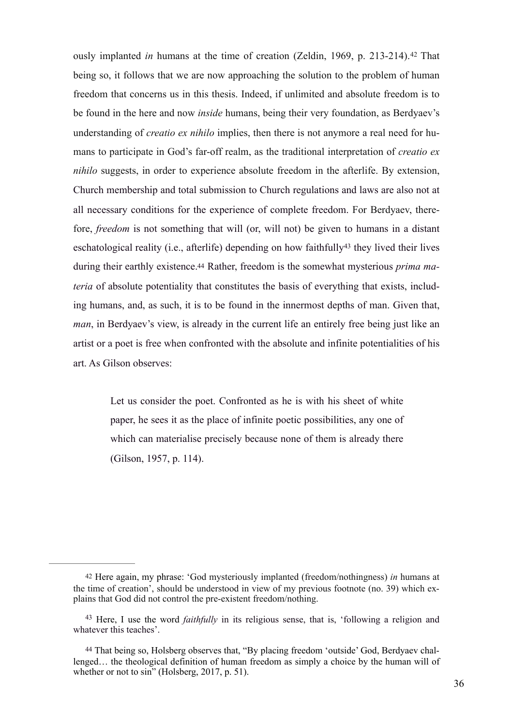ously implanted *in* humans at the time of creation (Zeldin, 1969, p. 213-214).<sup>42</sup> That being so, it follows that we are now approaching the solution to the problem of human freedom that concerns us in this thesis. Indeed, if unlimited and absolute freedom is to be found in the here and now *inside* humans, being their very foundation, as Berdyaev's understanding of *creatio ex nihilo* implies, then there is not anymore a real need for humans to participate in God's far-off realm, as the traditional interpretation of *creatio ex nihilo* suggests, in order to experience absolute freedom in the afterlife. By extension, Church membership and total submission to Church regulations and laws are also not at all necessary conditions for the experience of complete freedom. For Berdyaev, therefore, *freedom* is not something that will (or, will not) be given to humans in a distant eschatological reality (i.e., afterlife) depending on how faithfully<sup>43</sup> they lived their lives during their earthly existence.44 Rather, freedom is the somewhat mysterious *prima materia* of absolute potentiality that constitutes the basis of everything that exists, including humans, and, as such, it is to be found in the innermost depths of man. Given that, *man*, in Berdyaev's view, is already in the current life an entirely free being just like an artist or a poet is free when confronted with the absolute and infinite potentialities of his art. As Gilson observes:

Let us consider the poet. Confronted as he is with his sheet of white paper, he sees it as the place of infinite poetic possibilities, any one of which can materialise precisely because none of them is already there (Gilson, 1957, p. 114).

<sup>42</sup> Here again, my phrase: 'God mysteriously implanted (freedom/nothingness) *in* humans at the time of creation', should be understood in view of my previous footnote (no. 39) which explains that God did not control the pre-existent freedom/nothing.

<sup>&</sup>lt;sup>43</sup> Here, I use the word *faithfully* in its religious sense, that is, 'following a religion and whatever this teaches'.

<sup>44</sup> That being so, Holsberg observes that, "By placing freedom 'outside' God, Berdyaev challenged… the theological definition of human freedom as simply a choice by the human will of whether or not to sin" (Holsberg, 2017, p. 51).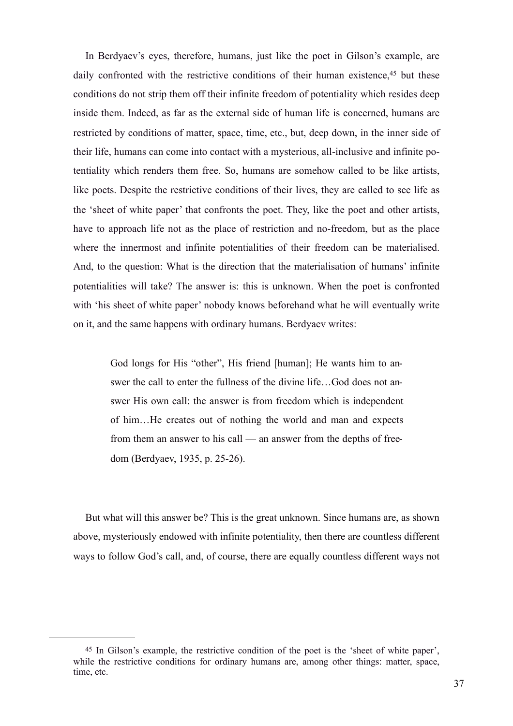In Berdyaev's eyes, therefore, humans, just like the poet in Gilson's example, are daily confronted with the restrictive conditions of their human existence,<sup>45</sup> but these conditions do not strip them off their infinite freedom of potentiality which resides deep inside them. Indeed, as far as the external side of human life is concerned, humans are restricted by conditions of matter, space, time, etc., but, deep down, in the inner side of their life, humans can come into contact with a mysterious, all-inclusive and infinite potentiality which renders them free. So, humans are somehow called to be like artists, like poets. Despite the restrictive conditions of their lives, they are called to see life as the 'sheet of white paper' that confronts the poet. They, like the poet and other artists, have to approach life not as the place of restriction and no-freedom, but as the place where the innermost and infinite potentialities of their freedom can be materialised. And, to the question: What is the direction that the materialisation of humans' infinite potentialities will take? The answer is: this is unknown. When the poet is confronted with 'his sheet of white paper' nobody knows beforehand what he will eventually write on it, and the same happens with ordinary humans. Berdyaev writes:

God longs for His "other", His friend [human]; He wants him to answer the call to enter the fullness of the divine life…God does not answer His own call: the answer is from freedom which is independent of him…He creates out of nothing the world and man and expects from them an answer to his call — an answer from the depths of freedom (Berdyaev, 1935, p. 25-26).

But what will this answer be? This is the great unknown. Since humans are, as shown above, mysteriously endowed with infinite potentiality, then there are countless different ways to follow God's call, and, of course, there are equally countless different ways not

<sup>45</sup> In Gilson's example, the restrictive condition of the poet is the 'sheet of white paper', while the restrictive conditions for ordinary humans are, among other things: matter, space, time, etc.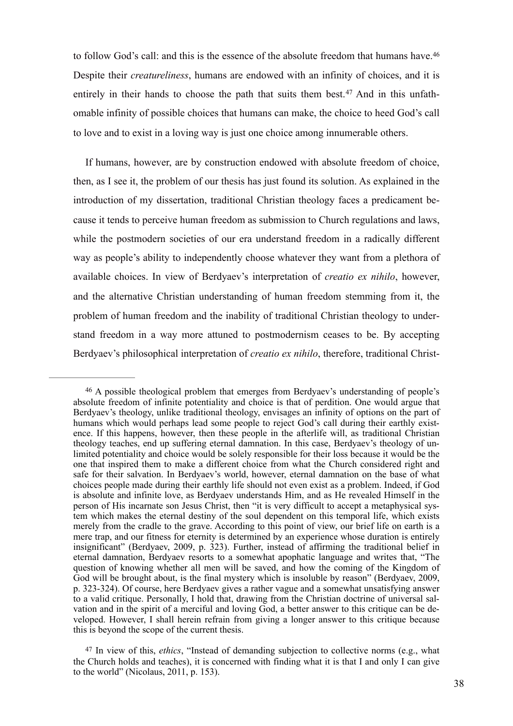to follow God's call: and this is the essence of the absolute freedom that humans have.<sup>46</sup> Despite their *creatureliness*, humans are endowed with an infinity of choices, and it is entirely in their hands to choose the path that suits them best.<sup>47</sup> And in this unfathomable infinity of possible choices that humans can make, the choice to heed God's call to love and to exist in a loving way is just one choice among innumerable others.

If humans, however, are by construction endowed with absolute freedom of choice, then, as I see it, the problem of our thesis has just found its solution. As explained in the introduction of my dissertation, traditional Christian theology faces a predicament because it tends to perceive human freedom as submission to Church regulations and laws, while the postmodern societies of our era understand freedom in a radically different way as people's ability to independently choose whatever they want from a plethora of available choices. In view of Berdyaev's interpretation of *creatio ex nihilo*, however, and the alternative Christian understanding of human freedom stemming from it, the problem of human freedom and the inability of traditional Christian theology to understand freedom in a way more attuned to postmodernism ceases to be. By accepting Berdyaev's philosophical interpretation of *creatio ex nihilo*, therefore, traditional Christ-

<sup>&</sup>lt;sup>46</sup> A possible theological problem that emerges from Berdyaev's understanding of people's absolute freedom of infinite potentiality and choice is that of perdition. One would argue that Berdyaev's theology, unlike traditional theology, envisages an infinity of options on the part of humans which would perhaps lead some people to reject God's call during their earthly existence. If this happens, however, then these people in the afterlife will, as traditional Christian theology teaches, end up suffering eternal damnation. In this case, Berdyaev's theology of unlimited potentiality and choice would be solely responsible for their loss because it would be the one that inspired them to make a different choice from what the Church considered right and safe for their salvation. In Berdyaev's world, however, eternal damnation on the base of what choices people made during their earthly life should not even exist as a problem. Indeed, if God is absolute and infinite love, as Berdyaev understands Him, and as He revealed Himself in the person of His incarnate son Jesus Christ, then "it is very difficult to accept a metaphysical system which makes the eternal destiny of the soul dependent on this temporal life, which exists merely from the cradle to the grave. According to this point of view, our brief life on earth is a mere trap, and our fitness for eternity is determined by an experience whose duration is entirely insignificant" (Berdyaev, 2009, p. 323). Further, instead of affirming the traditional belief in eternal damnation, Berdyaev resorts to a somewhat apophatic language and writes that, "The question of knowing whether all men will be saved, and how the coming of the Kingdom of God will be brought about, is the final mystery which is insoluble by reason" (Berdyaev, 2009, p. 323-324). Of course, here Berdyaev gives a rather vague and a somewhat unsatisfying answer to a valid critique. Personally, I hold that, drawing from the Christian doctrine of universal salvation and in the spirit of a merciful and loving God, a better answer to this critique can be developed. However, I shall herein refrain from giving a longer answer to this critique because this is beyond the scope of the current thesis.

<sup>47</sup> In view of this, *ethics*, "Instead of demanding subjection to collective norms (e.g., what the Church holds and teaches), it is concerned with finding what it is that I and only I can give to the world" (Nicolaus, 2011, p. 153).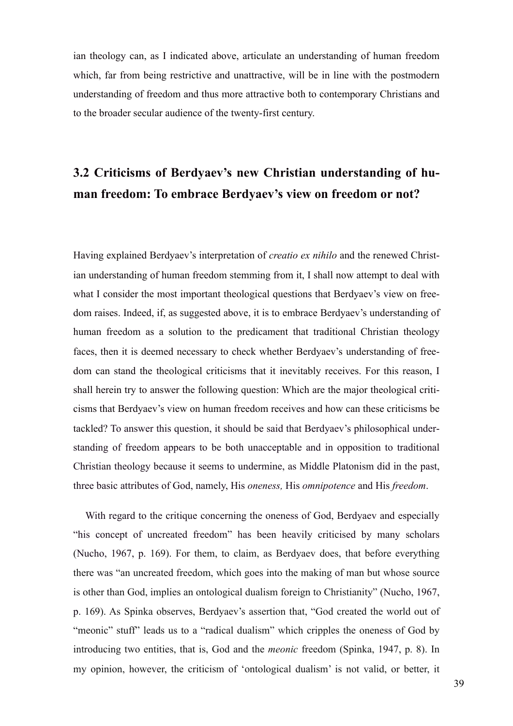ian theology can, as I indicated above, articulate an understanding of human freedom which, far from being restrictive and unattractive, will be in line with the postmodern understanding of freedom and thus more attractive both to contemporary Christians and to the broader secular audience of the twenty-first century.

## **3.2 Criticisms of Berdyaev's new Christian understanding of human freedom: To embrace Berdyaev's view on freedom or not?**

Having explained Berdyaev's interpretation of *creatio ex nihilo* and the renewed Christian understanding of human freedom stemming from it, I shall now attempt to deal with what I consider the most important theological questions that Berdyaev's view on freedom raises. Indeed, if, as suggested above, it is to embrace Berdyaev's understanding of human freedom as a solution to the predicament that traditional Christian theology faces, then it is deemed necessary to check whether Berdyaev's understanding of freedom can stand the theological criticisms that it inevitably receives. For this reason, I shall herein try to answer the following question: Which are the major theological criticisms that Berdyaev's view on human freedom receives and how can these criticisms be tackled? To answer this question, it should be said that Berdyaev's philosophical understanding of freedom appears to be both unacceptable and in opposition to traditional Christian theology because it seems to undermine, as Middle Platonism did in the past, three basic attributes of God, namely, His *oneness,* His *omnipotence* and His *freedom*.

With regard to the critique concerning the oneness of God, Berdyaev and especially "his concept of uncreated freedom" has been heavily criticised by many scholars (Nucho, 1967, p. 169). For them, to claim, as Berdyaev does, that before everything there was "an uncreated freedom, which goes into the making of man but whose source is other than God, implies an ontological dualism foreign to Christianity" (Nucho, 1967, p. 169). As Spinka observes, Berdyaev's assertion that, "God created the world out of "meonic" stuff" leads us to a "radical dualism" which cripples the oneness of God by introducing two entities, that is, God and the *meonic* freedom (Spinka, 1947, p. 8). In my opinion, however, the criticism of 'ontological dualism' is not valid, or better, it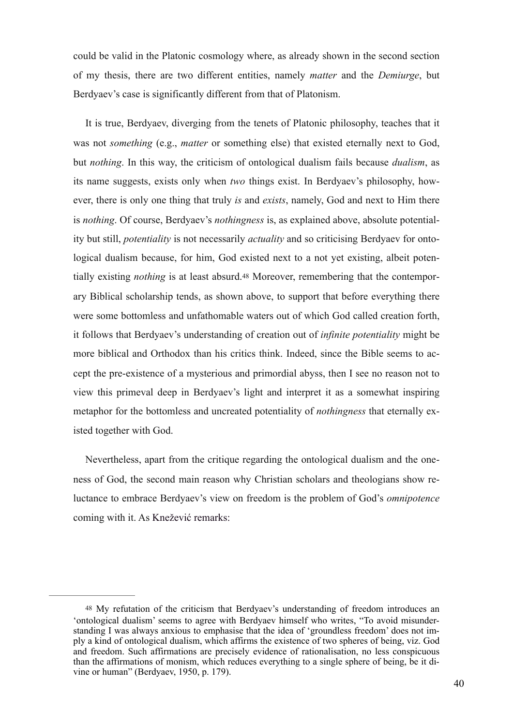could be valid in the Platonic cosmology where, as already shown in the second section of my thesis, there are two different entities, namely *matter* and the *Demiurge*, but Berdyaev's case is significantly different from that of Platonism.

It is true, Berdyaev, diverging from the tenets of Platonic philosophy, teaches that it was not *something* (e.g., *matter* or something else) that existed eternally next to God, but *nothing*. In this way, the criticism of ontological dualism fails because *dualism*, as its name suggests, exists only when *two* things exist. In Berdyaev's philosophy, however, there is only one thing that truly *is* and *exists*, namely, God and next to Him there is *nothing*. Of course, Berdyaev's *nothingness* is, as explained above, absolute potentiality but still, *potentiality* is not necessarily *actuality* and so criticising Berdyaev for ontological dualism because, for him, God existed next to a not yet existing, albeit potentially existing *nothing* is at least absurd.48 Moreover, remembering that the contemporary Biblical scholarship tends, as shown above, to support that before everything there were some bottomless and unfathomable waters out of which God called creation forth, it follows that Berdyaev's understanding of creation out of *infinite potentiality* might be more biblical and Orthodox than his critics think. Indeed, since the Bible seems to accept the pre-existence of a mysterious and primordial abyss, then I see no reason not to view this primeval deep in Berdyaev's light and interpret it as a somewhat inspiring metaphor for the bottomless and uncreated potentiality of *nothingness* that eternally existed together with God.

Nevertheless, apart from the critique regarding the ontological dualism and the oneness of God, the second main reason why Christian scholars and theologians show reluctance to embrace Berdyaev's view on freedom is the problem of God's *omnipotence* coming with it. As Knežević remarks:

<sup>48</sup> My refutation of the criticism that Berdyaev's understanding of freedom introduces an 'ontological dualism' seems to agree with Berdyaev himself who writes, "To avoid misunderstanding I was always anxious to emphasise that the idea of 'groundless freedom' does not imply a kind of ontological dualism, which affirms the existence of two spheres of being, viz. God and freedom. Such affirmations are precisely evidence of rationalisation, no less conspicuous than the affirmations of monism, which reduces everything to a single sphere of being, be it divine or human" (Berdyaev, 1950, p. 179).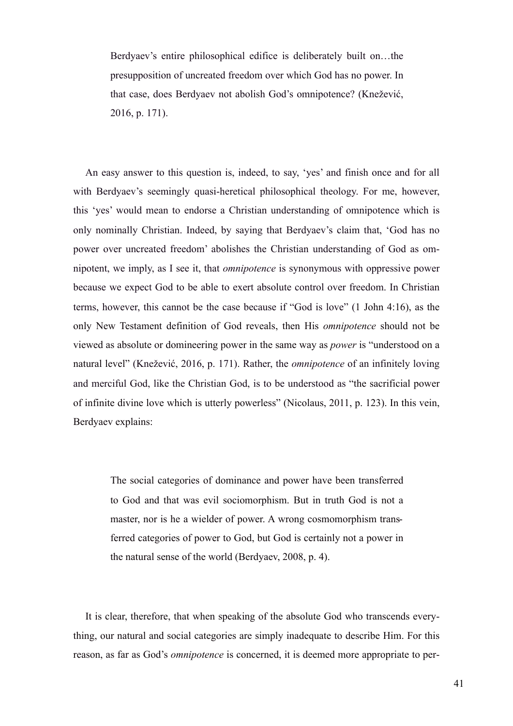Berdyaev's entire philosophical edifice is deliberately built on…the presupposition of uncreated freedom over which God has no power. In that case, does Berdyaev not abolish God's omnipotence? (Knežević, 2016, p. 171).

An easy answer to this question is, indeed, to say, 'yes' and finish once and for all with Berdyaev's seemingly quasi-heretical philosophical theology. For me, however, this 'yes' would mean to endorse a Christian understanding of omnipotence which is only nominally Christian. Indeed, by saying that Berdyaev's claim that, 'God has no power over uncreated freedom' abolishes the Christian understanding of God as omnipotent, we imply, as I see it, that *omnipotence* is synonymous with oppressive power because we expect God to be able to exert absolute control over freedom. In Christian terms, however, this cannot be the case because if "God is love" (1 John 4:16), as the only New Testament definition of God reveals, then His *omnipotence* should not be viewed as absolute or domineering power in the same way as *power* is "understood on a natural level" (Knežević, 2016, p. 171). Rather, the *omnipotence* of an infinitely loving and merciful God, like the Christian God, is to be understood as "the sacrificial power of infinite divine love which is utterly powerless" (Nicolaus, 2011, p. 123). In this vein, Berdyaev explains:

The social categories of dominance and power have been transferred to God and that was evil sociomorphism. But in truth God is not a master, nor is he a wielder of power. A wrong cosmomorphism transferred categories of power to God, but God is certainly not a power in the natural sense of the world (Berdyaev, 2008, p. 4).

It is clear, therefore, that when speaking of the absolute God who transcends everything, our natural and social categories are simply inadequate to describe Him. For this reason, as far as God's *omnipotence* is concerned, it is deemed more appropriate to per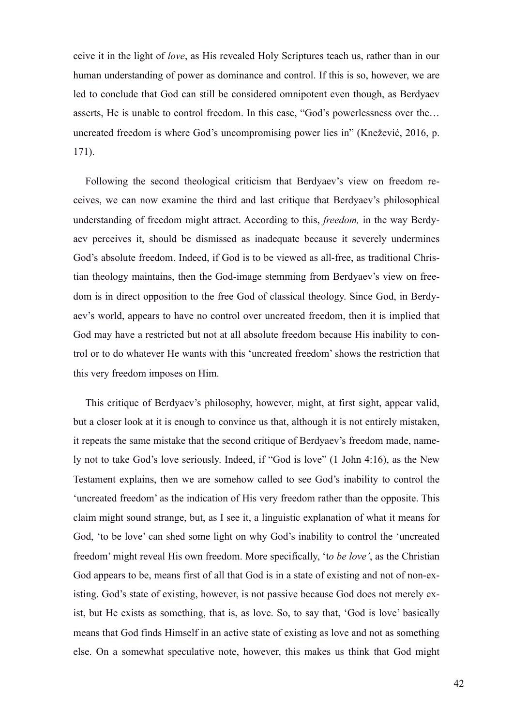ceive it in the light of *love*, as His revealed Holy Scriptures teach us, rather than in our human understanding of power as dominance and control. If this is so, however, we are led to conclude that God can still be considered omnipotent even though, as Berdyaev asserts, He is unable to control freedom. In this case, "God's powerlessness over the… uncreated freedom is where God's uncompromising power lies in" (Knežević, 2016, p. 171).

Following the second theological criticism that Berdyaev's view on freedom receives, we can now examine the third and last critique that Berdyaev's philosophical understanding of freedom might attract. According to this, *freedom,* in the way Berdyaev perceives it, should be dismissed as inadequate because it severely undermines God's absolute freedom. Indeed, if God is to be viewed as all-free, as traditional Christian theology maintains, then the God-image stemming from Berdyaev's view on freedom is in direct opposition to the free God of classical theology. Since God, in Berdyaev's world, appears to have no control over uncreated freedom, then it is implied that God may have a restricted but not at all absolute freedom because His inability to control or to do whatever He wants with this 'uncreated freedom' shows the restriction that this very freedom imposes on Him.

This critique of Berdyaev's philosophy, however, might, at first sight, appear valid, but a closer look at it is enough to convince us that, although it is not entirely mistaken, it repeats the same mistake that the second critique of Berdyaev's freedom made, namely not to take God's love seriously. Indeed, if "God is love" (1 John 4:16), as the New Testament explains, then we are somehow called to see God's inability to control the 'uncreated freedom' as the indication of His very freedom rather than the opposite. This claim might sound strange, but, as I see it, a linguistic explanation of what it means for God, 'to be love' can shed some light on why God's inability to control the 'uncreated freedom' might reveal His own freedom. More specifically, 't*o be love'*, as the Christian God appears to be, means first of all that God is in a state of existing and not of non-existing. God's state of existing, however, is not passive because God does not merely exist, but He exists as something, that is, as love. So, to say that, 'God is love' basically means that God finds Himself in an active state of existing as love and not as something else. On a somewhat speculative note, however, this makes us think that God might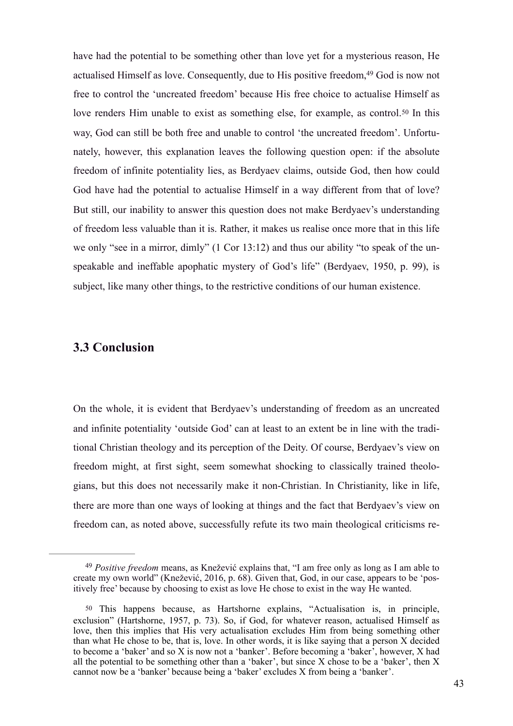have had the potential to be something other than love yet for a mysterious reason, He actualised Himself as love. Consequently, due to His positive freedom, <sup>49</sup> God is now not free to control the 'uncreated freedom' because His free choice to actualise Himself as love renders Him unable to exist as something else, for example, as control.50 In this way, God can still be both free and unable to control 'the uncreated freedom'. Unfortunately, however, this explanation leaves the following question open: if the absolute freedom of infinite potentiality lies, as Berdyaev claims, outside God, then how could God have had the potential to actualise Himself in a way different from that of love? But still, our inability to answer this question does not make Berdyaev's understanding of freedom less valuable than it is. Rather, it makes us realise once more that in this life we only "see in a mirror, dimly" (1 Cor 13:12) and thus our ability "to speak of the unspeakable and ineffable apophatic mystery of God's life" (Berdyaev, 1950, p. 99), is subject, like many other things, to the restrictive conditions of our human existence.

### **3.3 Conclusion**

On the whole, it is evident that Berdyaev's understanding of freedom as an uncreated and infinite potentiality 'outside God' can at least to an extent be in line with the traditional Christian theology and its perception of the Deity. Of course, Berdyaev's view on freedom might, at first sight, seem somewhat shocking to classically trained theologians, but this does not necessarily make it non-Christian. In Christianity, like in life, there are more than one ways of looking at things and the fact that Berdyaev's view on freedom can, as noted above, successfully refute its two main theological criticisms re-

*Positive freedom* means, as Knežević explains that, "I am free only as long as I am able to 49 create my own world" (Knežević, 2016, p. 68). Given that, God, in our case, appears to be 'positively free' because by choosing to exist as love He chose to exist in the way He wanted.

<sup>50</sup> This happens because, as Hartshorne explains, "Actualisation is, in principle, exclusion" (Hartshorne, 1957, p. 73). So, if God, for whatever reason, actualised Himself as love, then this implies that His very actualisation excludes Him from being something other than what He chose to be, that is, love. In other words, it is like saying that a person X decided to become a 'baker' and so X is now not a 'banker'. Before becoming a 'baker', however, X had all the potential to be something other than a 'baker', but since X chose to be a 'baker', then X cannot now be a 'banker' because being a 'baker' excludes X from being a 'banker'.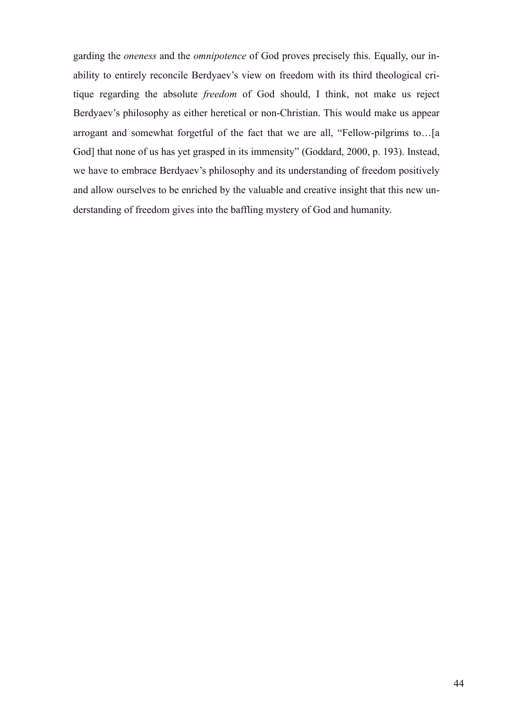garding the *oneness* and the *omnipotence* of God proves precisely this. Equally, our inability to entirely reconcile Berdyaev's view on freedom with its third theological critique regarding the absolute *freedom* of God should, I think, not make us reject Berdyaev's philosophy as either heretical or non-Christian. This would make us appear arrogant and somewhat forgetful of the fact that we are all, "Fellow-pilgrims to…[a God] that none of us has yet grasped in its immensity" (Goddard, 2000, p. 193). Instead, we have to embrace Berdyaev's philosophy and its understanding of freedom positively and allow ourselves to be enriched by the valuable and creative insight that this new understanding of freedom gives into the baffling mystery of God and humanity.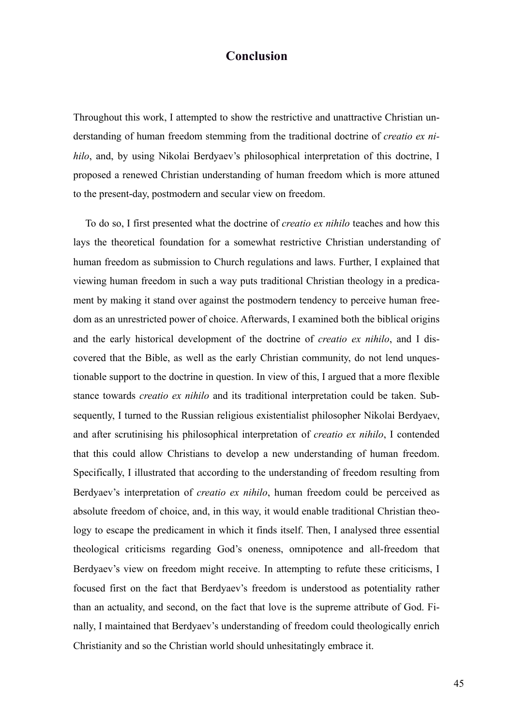## **Conclusion**

Throughout this work, I attempted to show the restrictive and unattractive Christian understanding of human freedom stemming from the traditional doctrine of *creatio ex nihilo*, and, by using Nikolai Berdyaev's philosophical interpretation of this doctrine, I proposed a renewed Christian understanding of human freedom which is more attuned to the present-day, postmodern and secular view on freedom.

To do so, I first presented what the doctrine of *creatio ex nihilo* teaches and how this lays the theoretical foundation for a somewhat restrictive Christian understanding of human freedom as submission to Church regulations and laws. Further, I explained that viewing human freedom in such a way puts traditional Christian theology in a predicament by making it stand over against the postmodern tendency to perceive human freedom as an unrestricted power of choice. Afterwards, I examined both the biblical origins and the early historical development of the doctrine of *creatio ex nihilo*, and I discovered that the Bible, as well as the early Christian community, do not lend unquestionable support to the doctrine in question. In view of this, I argued that a more flexible stance towards *creatio ex nihilo* and its traditional interpretation could be taken. Subsequently, I turned to the Russian religious existentialist philosopher Nikolai Berdyaev, and after scrutinising his philosophical interpretation of *creatio ex nihilo*, I contended that this could allow Christians to develop a new understanding of human freedom. Specifically, I illustrated that according to the understanding of freedom resulting from Berdyaev's interpretation of *creatio ex nihilo*, human freedom could be perceived as absolute freedom of choice, and, in this way, it would enable traditional Christian theology to escape the predicament in which it finds itself. Then, I analysed three essential theological criticisms regarding God's oneness, omnipotence and all-freedom that Berdyaev's view on freedom might receive. In attempting to refute these criticisms, I focused first on the fact that Berdyaev's freedom is understood as potentiality rather than an actuality, and second, on the fact that love is the supreme attribute of God. Finally, I maintained that Berdyaev's understanding of freedom could theologically enrich Christianity and so the Christian world should unhesitatingly embrace it.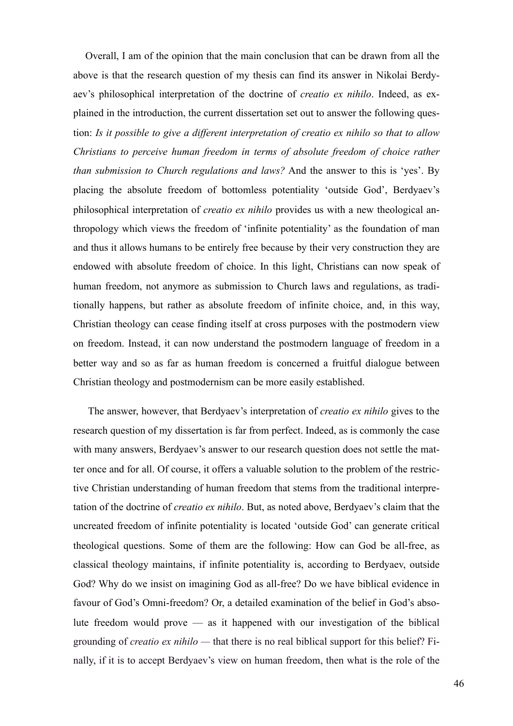Overall, I am of the opinion that the main conclusion that can be drawn from all the above is that the research question of my thesis can find its answer in Nikolai Berdyaev's philosophical interpretation of the doctrine of *creatio ex nihilo*. Indeed, as explained in the introduction, the current dissertation set out to answer the following question: *Is it possible to give a different interpretation of creatio ex nihilo so that to allow Christians to perceive human freedom in terms of absolute freedom of choice rather than submission to Church regulations and laws?* And the answer to this is 'yes'. By placing the absolute freedom of bottomless potentiality 'outside God', Berdyaev's philosophical interpretation of *creatio ex nihilo* provides us with a new theological anthropology which views the freedom of 'infinite potentiality' as the foundation of man and thus it allows humans to be entirely free because by their very construction they are endowed with absolute freedom of choice. In this light, Christians can now speak of human freedom, not anymore as submission to Church laws and regulations, as traditionally happens, but rather as absolute freedom of infinite choice, and, in this way, Christian theology can cease finding itself at cross purposes with the postmodern view on freedom. Instead, it can now understand the postmodern language of freedom in a better way and so as far as human freedom is concerned a fruitful dialogue between Christian theology and postmodernism can be more easily established.

 The answer, however, that Berdyaev's interpretation of *creatio ex nihilo* gives to the research question of my dissertation is far from perfect. Indeed, as is commonly the case with many answers, Berdyaev's answer to our research question does not settle the matter once and for all. Of course, it offers a valuable solution to the problem of the restrictive Christian understanding of human freedom that stems from the traditional interpretation of the doctrine of *creatio ex nihilo*. But, as noted above, Berdyaev's claim that the uncreated freedom of infinite potentiality is located 'outside God' can generate critical theological questions. Some of them are the following: How can God be all-free, as classical theology maintains, if infinite potentiality is, according to Berdyaev, outside God? Why do we insist on imagining God as all-free? Do we have biblical evidence in favour of God's Omni-freedom? Or, a detailed examination of the belief in God's absolute freedom would prove — as it happened with our investigation of the biblical grounding of *creatio ex nihilo —* that there is no real biblical support for this belief? Finally, if it is to accept Berdyaev's view on human freedom, then what is the role of the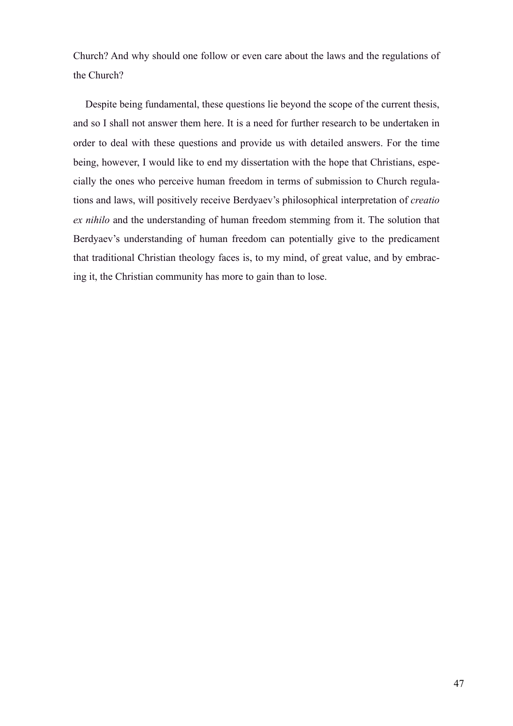Church? And why should one follow or even care about the laws and the regulations of the Church?

Despite being fundamental, these questions lie beyond the scope of the current thesis, and so I shall not answer them here. It is a need for further research to be undertaken in order to deal with these questions and provide us with detailed answers. For the time being, however, I would like to end my dissertation with the hope that Christians, especially the ones who perceive human freedom in terms of submission to Church regulations and laws, will positively receive Berdyaev's philosophical interpretation of *creatio ex nihilo* and the understanding of human freedom stemming from it. The solution that Berdyaev's understanding of human freedom can potentially give to the predicament that traditional Christian theology faces is, to my mind, of great value, and by embracing it, the Christian community has more to gain than to lose.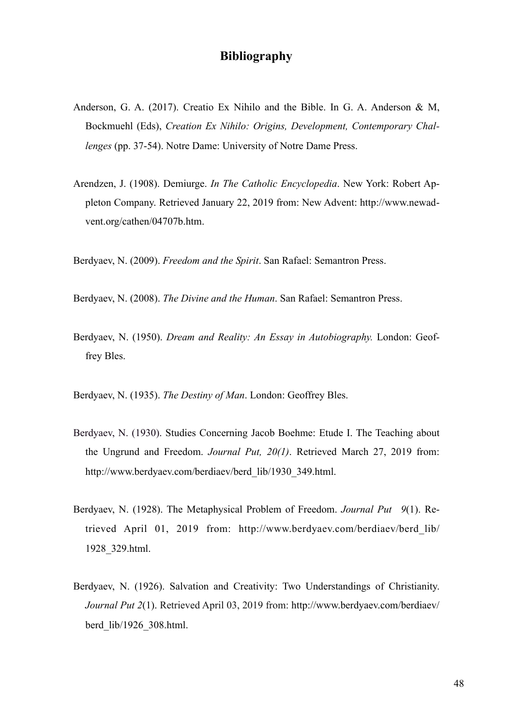## **Bibliography**

- Anderson, G. A. (2017). Creatio Ex Nihilo and the Bible. In G. A. Anderson & M, Bockmuehl (Eds), *Creation Ex Nihilo: Origins, Development, Contemporary Challenges* (pp. 37-54). Notre Dame: University of Notre Dame Press.
- Arendzen, J. (1908). Demiurge. *In The Catholic Encyclopedia*. New York: Robert Appleton Company. Retrieved January 22, 2019 from: New Advent: http://www.newadvent.org/cathen/04707b.htm.

Berdyaev, N. (2009). *Freedom and the Spirit*. San Rafael: Semantron Press.

Berdyaev, N. (2008). *The Divine and the Human*. San Rafael: Semantron Press.

Berdyaev, N. (1950). *Dream and Reality: An Essay in Autobiography.* London: Geoffrey Bles.

Berdyaev, N. (1935). *The Destiny of Man*. London: Geoffrey Bles.

- Berdyaev, N. (1930). Studies Concerning Jacob Boehme: Etude I. The Teaching about the Ungrund and Freedom. *Journal Put, 20(1)*. Retrieved March 27, 2019 from: http://www.berdyaev.com/berdiaev/berd\_lib/1930\_349.html.
- Berdyaev, N. (1928). The Metaphysical Problem of Freedom. *Journal Put 9*(1). Retrieved April 01, 2019 from: http://www.berdyaev.com/berdiaev/berd\_lib/ 1928\_329.html.
- Berdyaev, N. (1926). Salvation and Creativity: Two Understandings of Christianity. *Journal Put 2*(1). Retrieved April 03, 2019 from: http://www.berdyaev.com/berdiaev/ berd\_lib/1926\_308.html.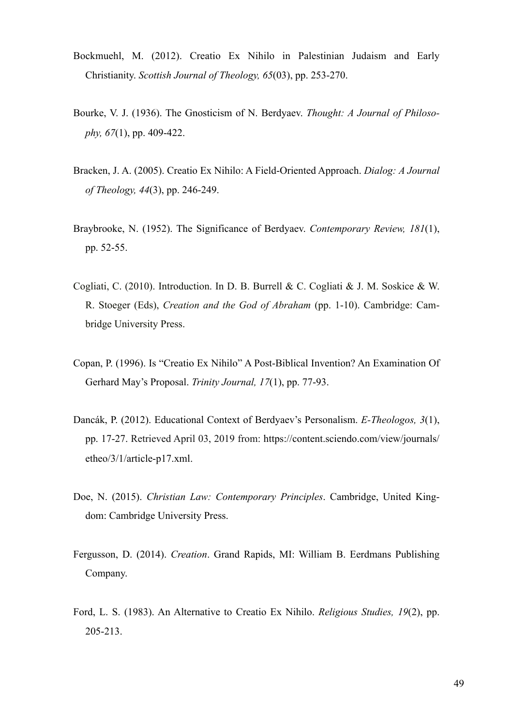- Bockmuehl, M. (2012). Creatio Ex Nihilo in Palestinian Judaism and Early Christianity. *Scottish Journal of Theology, 65*(03), pp. 253-270.
- Bourke, V. J. (1936). The Gnosticism of N. Berdyaev. *Thought: A Journal of Philosophy, 67*(1), pp. 409-422.
- Bracken, J. A. (2005). Creatio Ex Nihilo: A Field-Oriented Approach. *Dialog: A Journal of Theology, 44*(3), pp. 246-249.
- Braybrooke, N. (1952). The Significance of Berdyaev. *Contemporary Review, 181*(1), pp. 52-55.
- Cogliati, C. (2010). Introduction. In D. B. Burrell & C. Cogliati & J. M. Soskice & W. R. Stoeger (Eds), *Creation and the God of Abraham* (pp. 1-10). Cambridge: Cambridge University Press.
- Copan, P. (1996). Is "Creatio Ex Nihilo" A Post-Biblical Invention? An Examination Of Gerhard May's Proposal. *Trinity Journal, 17*(1), pp. 77-93.
- Dancák, P. (2012). Educational Context of Berdyaev's Personalism. *E-Theologos, 3*(1), pp. 17-27. Retrieved April 03, 2019 from: https://content.sciendo.com/view/journals/ etheo/3/1/article-p17.xml.
- Doe, N. (2015). *Christian Law: Contemporary Principles*. Cambridge, United Kingdom: Cambridge University Press.
- Fergusson, D. (2014). *Creation*. Grand Rapids, MI: William B. Eerdmans Publishing Company.
- Ford, L. S. (1983). An Alternative to Creatio Ex Nihilo. *Religious Studies, 19*(2), pp. 205-213.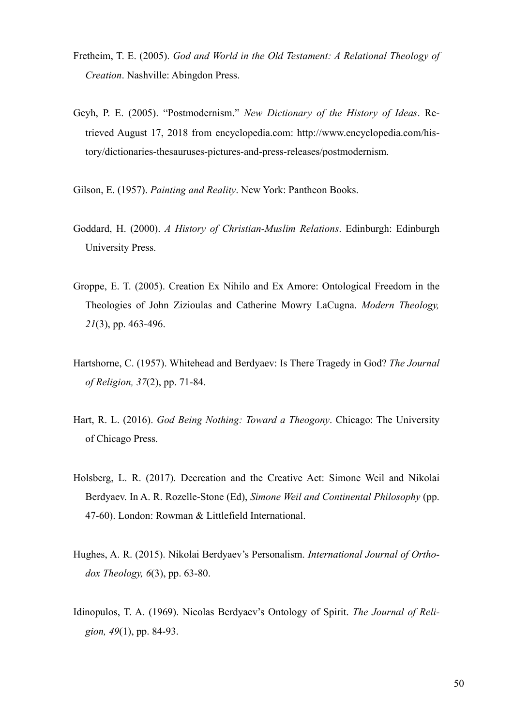- Fretheim, T. E. (2005). *God and World in the Old Testament: A Relational Theology of Creation*. Nashville: Abingdon Press.
- Geyh, P. E. (2005). "Postmodernism." *New Dictionary of the History of Ideas*. Retrieved August 17, 2018 from encyclopedia.com: http://www.encyclopedia.com/history/dictionaries-thesauruses-pictures-and-press-releases/postmodernism.
- Gilson, E. (1957). *Painting and Reality*. New York: Pantheon Books.
- Goddard, H. (2000). *A History of Christian-Muslim Relations*. Edinburgh: Edinburgh University Press.
- Groppe, E. T. (2005). Creation Ex Nihilo and Ex Amore: Ontological Freedom in the Theologies of John Zizioulas and Catherine Mowry LaCugna. *Modern Theology, 21*(3), pp. 463-496.
- Hartshorne, C. (1957). Whitehead and Berdyaev: Is There Tragedy in God? *The Journal of Religion, 37*(2), pp. 71-84.
- Hart, R. L. (2016). *God Being Nothing: Toward a Theogony*. Chicago: The University of Chicago Press.
- Holsberg, L. R. (2017). Decreation and the Creative Act: Simone Weil and Nikolai Berdyaev. In A. R. Rozelle-Stone (Ed), *Simone Weil and Continental Philosophy* (pp. 47-60). London: Rowman & Littlefield International.
- Hughes, A. R. (2015). Nikolai Berdyaev's Personalism. *International Journal of Orthodox Theology, 6*(3), pp. 63-80.
- Idinopulos, T. A. (1969). Nicolas Berdyaev's Ontology of Spirit. *The Journal of Religion, 49*(1), pp. 84-93.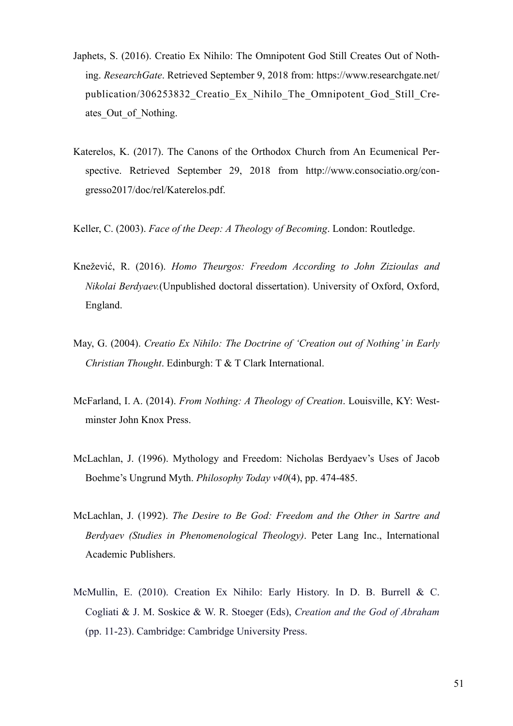- Japhets, S. (2016). Creatio Ex Nihilo: The Omnipotent God Still Creates Out of Nothing. *ResearchGate*. Retrieved September 9, 2018 from: https://www.researchgate.net/ publication/306253832\_Creatio\_Ex\_Nihilo\_The\_Omnipotent\_God\_Still\_Creates Out of Nothing.
- Katerelos, K. (2017). The Canons of the Orthodox Church from An Ecumenical Perspective. Retrieved September 29, 2018 from http://www.consociatio.org/congresso2017/doc/rel/Katerelos.pdf.
- Keller, C. (2003). *Face of the Deep: A Theology of Becoming*. London: Routledge.
- Knežević, R. (2016). *Homo Theurgos: Freedom According to John Zizioulas and Nikolai Berdyaev.*(Unpublished doctoral dissertation). University of Oxford, Oxford, England.
- May, G. (2004). *Creatio Ex Nihilo: The Doctrine of 'Creation out of Nothing' in Early Christian Thought*. Edinburgh: T & T Clark International.
- McFarland, I. A. (2014). *From Nothing: A Theology of Creation*. Louisville, KY: Westminster John Knox Press.
- McLachlan, J. (1996). Mythology and Freedom: Nicholas Berdyaev's Uses of Jacob Boehme's Ungrund Myth. *Philosophy Today v40*(4), pp. 474-485.
- McLachlan, J. (1992). *The Desire to Be God: Freedom and the Other in Sartre and Berdyaev (Studies in Phenomenological Theology)*. Peter Lang Inc., International Academic Publishers.
- McMullin, E. (2010). Creation Ex Nihilo: Early History. In D. B. Burrell & C. Cogliati & J. M. Soskice & W. R. Stoeger (Eds), *Creation and the God of Abraham* (pp. 11-23). Cambridge: Cambridge University Press.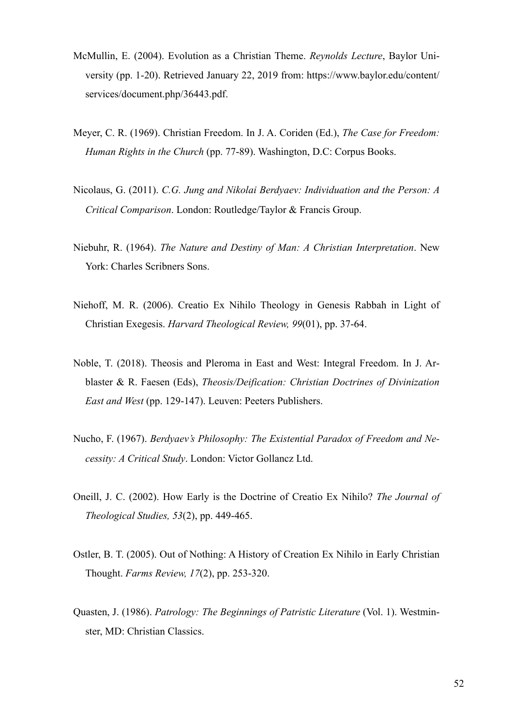- McMullin, E. (2004). Evolution as a Christian Theme. *Reynolds Lecture*, Baylor University (pp. 1-20). Retrieved January 22, 2019 from: https://www.baylor.edu/content/ services/document.php/36443.pdf.
- Meyer, C. R. (1969). Christian Freedom. In J. A. Coriden (Ed.), *The Case for Freedom: Human Rights in the Church* (pp. 77-89). Washington, D.C: Corpus Books.
- Nicolaus, G. (2011). *C.G. Jung and Nikolai Berdyaev: Individuation and the Person: A Critical Comparison*. London: Routledge/Taylor & Francis Group.
- Niebuhr, R. (1964). *The Nature and Destiny of Man: A Christian Interpretation*. New York: Charles Scribners Sons.
- Niehoff, M. R. (2006). Creatio Ex Nihilo Theology in Genesis Rabbah in Light of Christian Exegesis. *Harvard Theological Review, 99*(01), pp. 37-64.
- Noble, T. (2018). Theosis and Pleroma in East and West: Integral Freedom. In J. Arblaster & R. Faesen (Eds), *Theosis/Deification: Christian Doctrines of Divinization East and West* (pp. 129-147). Leuven: Peeters Publishers.
- Nucho, F. (1967). *Berdyaev's Philosophy: The Existential Paradox of Freedom and Necessity: A Critical Study*. London: Victor Gollancz Ltd.
- Oneill, J. C. (2002). How Early is the Doctrine of Creatio Ex Nihilo? *The Journal of Theological Studies, 53*(2), pp. 449-465.
- Ostler, B. T. (2005). Out of Nothing: A History of Creation Ex Nihilo in Early Christian Thought. *Farms Review, 17*(2), pp. 253-320.
- Quasten, J. (1986). *Patrology: The Beginnings of Patristic Literature* (Vol. 1). Westminster, MD: Christian Classics.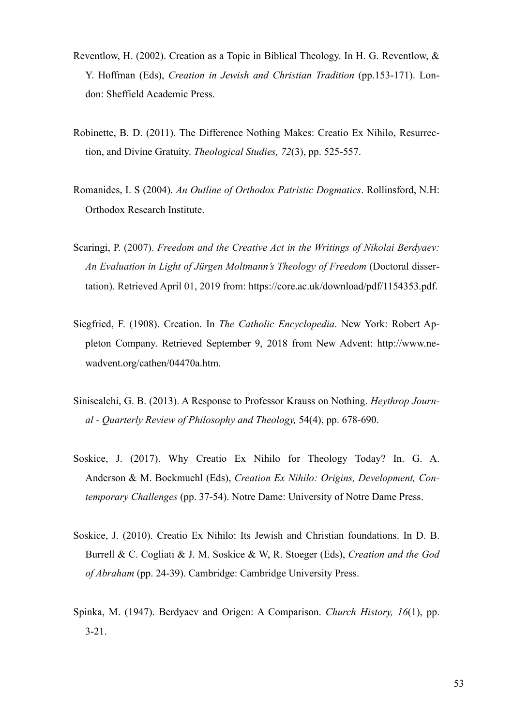- Reventlow, H. (2002). Creation as a Topic in Biblical Theology. In H. G. Reventlow, & Y. Hoffman (Eds), *Creation in Jewish and Christian Tradition* (pp.153-171). London: Sheffield Academic Press.
- Robinette, B. D. (2011). The Difference Nothing Makes: Creatio Ex Nihilo, Resurrection, and Divine Gratuity. *Theological Studies, 72*(3), pp. 525-557.
- Romanides, I. S (2004). *An Outline of Orthodox Patristic Dogmatics*. Rollinsford, N.H: Orthodox Research Institute.
- Scaringi, P. (2007). *Freedom and the Creative Act in the Writings of Nikolai Berdyaev: An Evaluation in Light of Jürgen Moltmann's Theology of Freedom* (Doctoral dissertation). Retrieved April 01, 2019 from: https://core.ac.uk/download/pdf/1154353.pdf.
- Siegfried, F. (1908). Creation. In *The Catholic Encyclopedia*. New York: Robert Appleton Company. Retrieved September 9, 2018 from New Advent: http://www.newadvent.org/cathen/04470a.htm.
- Siniscalchi, G. B. (2013). A Response to Professor Krauss on Nothing. *Heythrop Journal - Quarterly Review of Philosophy and Theology,* 54(4), pp. 678-690.
- Soskice, J. (2017). Why Creatio Ex Nihilo for Theology Today? In. G. A. Anderson & M. Bockmuehl (Eds), *Creation Ex Nihilo: Origins, Development, Contemporary Challenges* (pp. 37-54). Notre Dame: University of Notre Dame Press.
- Soskice, J. (2010). Creatio Ex Nihilo: Its Jewish and Christian foundations. In D. B. Burrell & C. Cogliati & J. M. Soskice & W, R. Stoeger (Eds), *Creation and the God of Abraham* (pp. 24-39). Cambridge: Cambridge University Press.
- Spinka, M. (1947). Berdyaev and Origen: A Comparison. *Church History, 16*(1), pp. 3-21.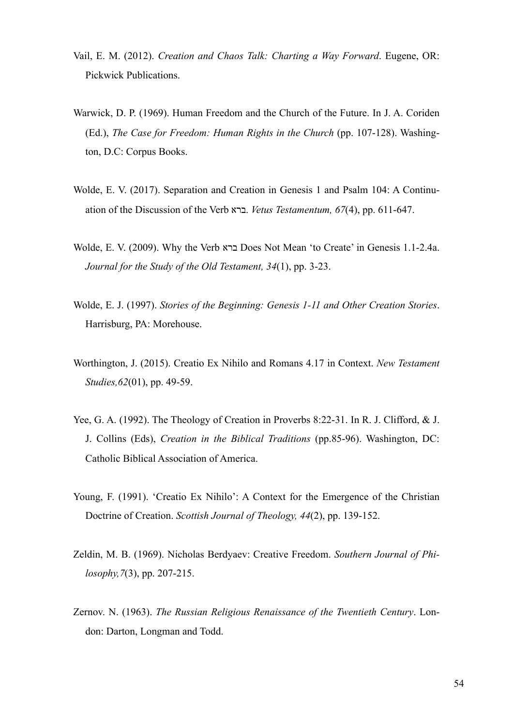- Vail, E. M. (2012). *Creation and Chaos Talk: Charting a Way Forward*. Eugene, OR: Pickwick Publications.
- Warwick, D. P. (1969). Human Freedom and the Church of the Future. In J. A. Coriden (Ed.), *The Case for Freedom: Human Rights in the Church* (pp. 107-128). Washington, D.C: Corpus Books.
- Wolde, E. V. (2017). Separation and Creation in Genesis 1 and Psalm 104: A Continuation of the Discussion of the Verb ברא. *Vetus Testamentum, 67*(4), pp. 611-647.
- Wolde, E. V. (2009). Why the Verb ברא Does Not Mean 'to Create' in Genesis 1.1-2.4a. *Journal for the Study of the Old Testament, 34*(1), pp. 3-23.
- Wolde, E. J. (1997). *Stories of the Beginning: Genesis 1-11 and Other Creation Stories*. Harrisburg, PA: Morehouse.
- Worthington, J. (2015). Creatio Ex Nihilo and Romans 4.17 in Context. *New Testament Studies,62*(01), pp. 49-59.
- Yee, G. A. (1992). The Theology of Creation in Proverbs 8:22-31. In R. J. Clifford, & J. J. Collins (Eds), *Creation in the Biblical Traditions* (pp.85-96). Washington, DC: Catholic Biblical Association of America.
- Young, F. (1991). 'Creatio Ex Nihilo': A Context for the Emergence of the Christian Doctrine of Creation. *Scottish Journal of Theology, 44*(2), pp. 139-152.
- Zeldin, M. B. (1969). Nicholas Berdyaev: Creative Freedom. *Southern Journal of Philosophy,7*(3), pp. 207-215.
- Zernov. N. (1963). *The Russian Religious Renaissance of the Twentieth Century*. London: Darton, Longman and Todd.